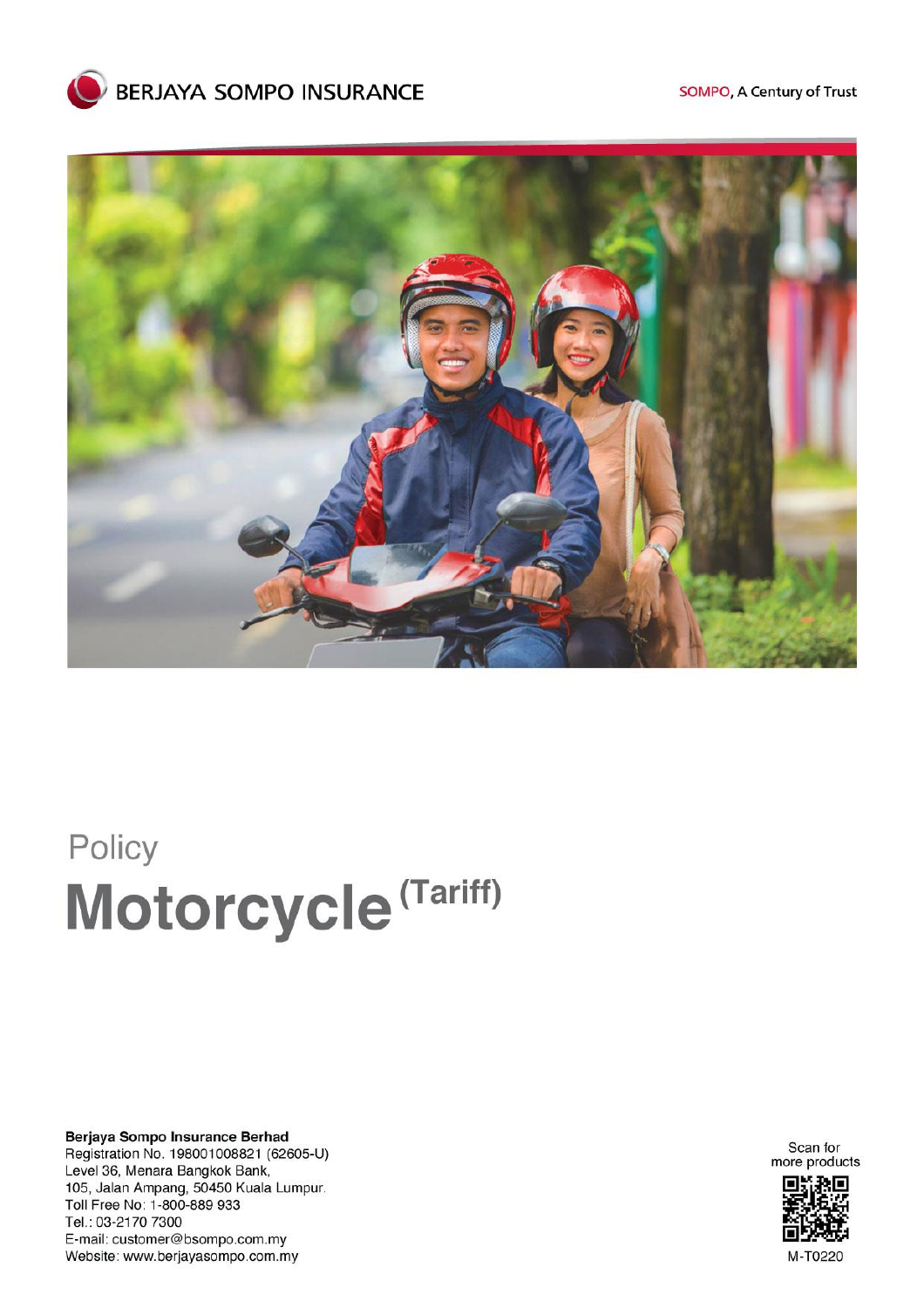



# Policy Motorcycle<sup>(Tariff)</sup>

Berjaya Sompo Insurance Berhad Registration No. 198001008821 (62605-U) Level 36, Menara Bangkok Bank, 105, Jalan Ampang, 50450 Kuala Lumpur. Toll Free No: 1-800-889 933 Tel.: 03-2170 7300 E-mail: customer@bsompo.com.my Website: www.berjayasompo.com.my

Scan for<br>more products



M-T0220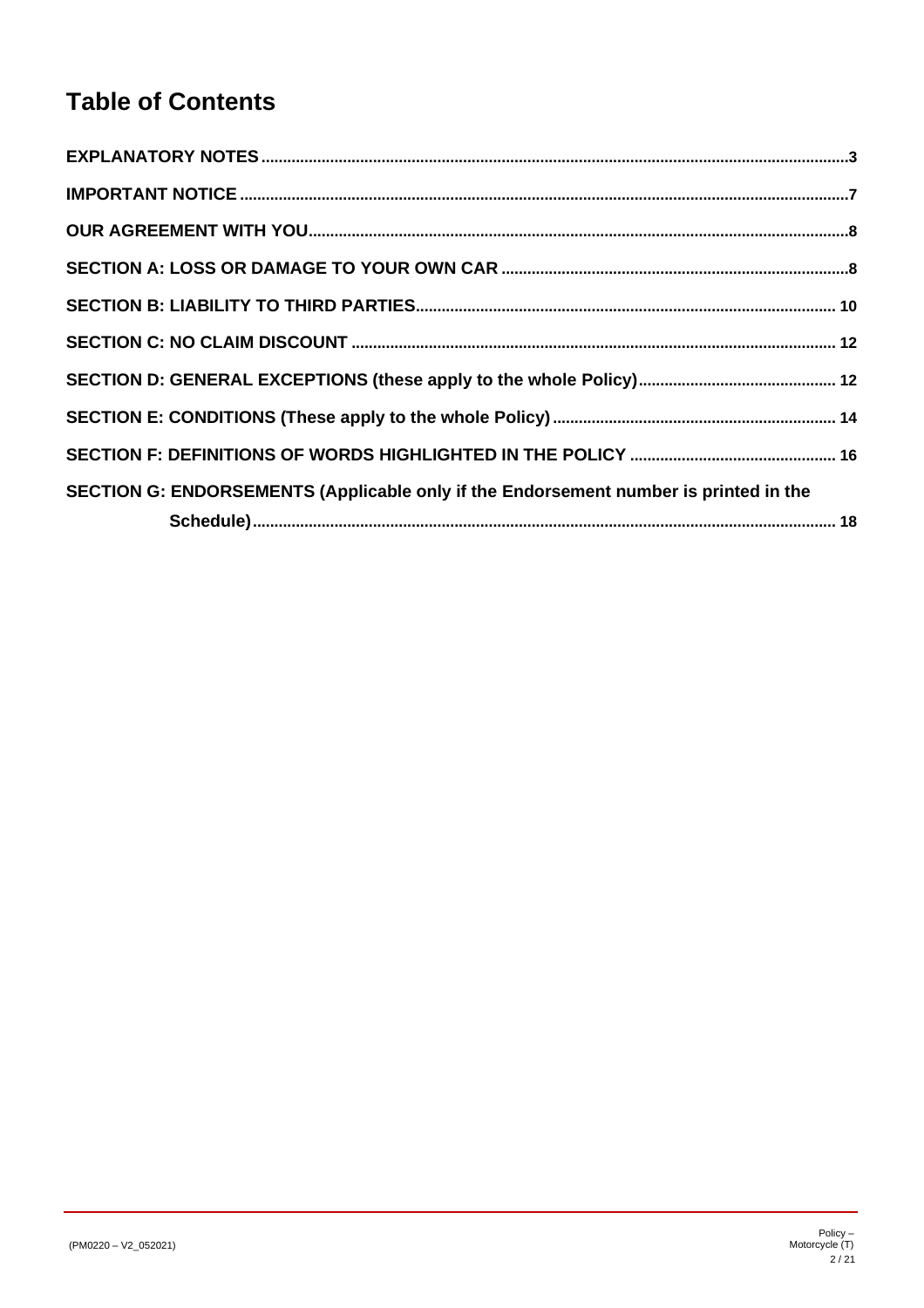# **Table of Contents**

| SECTION G: ENDORSEMENTS (Applicable only if the Endorsement number is printed in the |  |
|--------------------------------------------------------------------------------------|--|
|                                                                                      |  |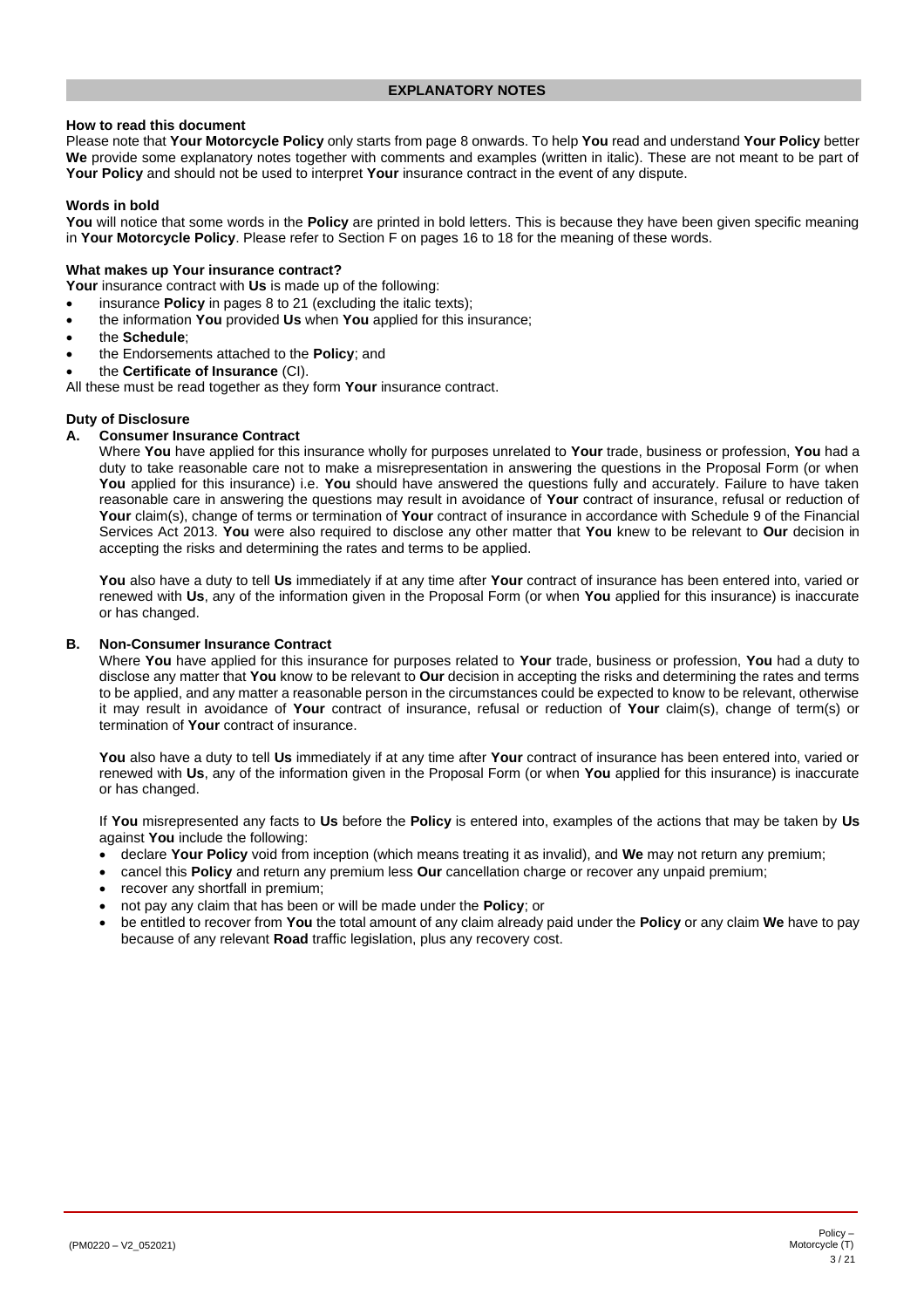## <span id="page-2-0"></span>**How to read this document**

Please note that **Your Motorcycle Policy** only starts from page [8](#page-7-0) onwards. To help **You** read and understand **Your Policy** better **We** provide some explanatory notes together with comments and examples (written in italic). These are not meant to be part of **Your Policy** and should not be used to interpret **Your** insurance contract in the event of any dispute.

# **Words in bold**

**You** will notice that some words in the **Policy** are printed in bold letters. This is because they have been given specific meaning in **Your Motorcycle Policy**. Please refer to Section F on page[s 16](#page-15-0) to [18](#page-17-1) for the meaning of these words.

## **What makes up Your insurance contract?**

**Your** insurance contract with **Us** is made up of the following:

- insurance **Policy** in pages [8](#page-7-0) to [21](#page-20-0) (excluding the italic texts);
- the information **You** provided **Us** when **You** applied for this insurance;
- the **Schedule**;
- the Endorsements attached to the **Policy**; and
- the **Certificate of Insurance** (CI).

All these must be read together as they form **Your** insurance contract.

#### **Duty of Disclosure**

# **A. Consumer Insurance Contract**

Where **You** have applied for this insurance wholly for purposes unrelated to **Your** trade, business or profession, **You** had a duty to take reasonable care not to make a misrepresentation in answering the questions in the Proposal Form (or when **You** applied for this insurance) i.e. **You** should have answered the questions fully and accurately. Failure to have taken reasonable care in answering the questions may result in avoidance of **Your** contract of insurance, refusal or reduction of **Your** claim(s), change of terms or termination of **Your** contract of insurance in accordance with Schedule 9 of the Financial Services Act 2013. **You** were also required to disclose any other matter that **You** knew to be relevant to **Our** decision in accepting the risks and determining the rates and terms to be applied.

**You** also have a duty to tell **Us** immediately if at any time after **Your** contract of insurance has been entered into, varied or renewed with **Us**, any of the information given in the Proposal Form (or when **You** applied for this insurance) is inaccurate or has changed.

#### **B. Non-Consumer Insurance Contract**

Where **You** have applied for this insurance for purposes related to **Your** trade, business or profession, **You** had a duty to disclose any matter that **You** know to be relevant to **Our** decision in accepting the risks and determining the rates and terms to be applied, and any matter a reasonable person in the circumstances could be expected to know to be relevant, otherwise it may result in avoidance of **Your** contract of insurance, refusal or reduction of **Your** claim(s), change of term(s) or termination of **Your** contract of insurance.

**You** also have a duty to tell **Us** immediately if at any time after **Your** contract of insurance has been entered into, varied or renewed with **Us**, any of the information given in the Proposal Form (or when **You** applied for this insurance) is inaccurate or has changed.

If **You** misrepresented any facts to **Us** before the **Policy** is entered into, examples of the actions that may be taken by **Us** against **You** include the following:

- declare **Your Policy** void from inception (which means treating it as invalid), and **We** may not return any premium;
- cancel this **Policy** and return any premium less **Our** cancellation charge or recover any unpaid premium;
- recover any shortfall in premium;
- not pay any claim that has been or will be made under the **Policy**; or
- be entitled to recover from **You** the total amount of any claim already paid under the **Policy** or any claim **We** have to pay because of any relevant **Road** traffic legislation, plus any recovery cost.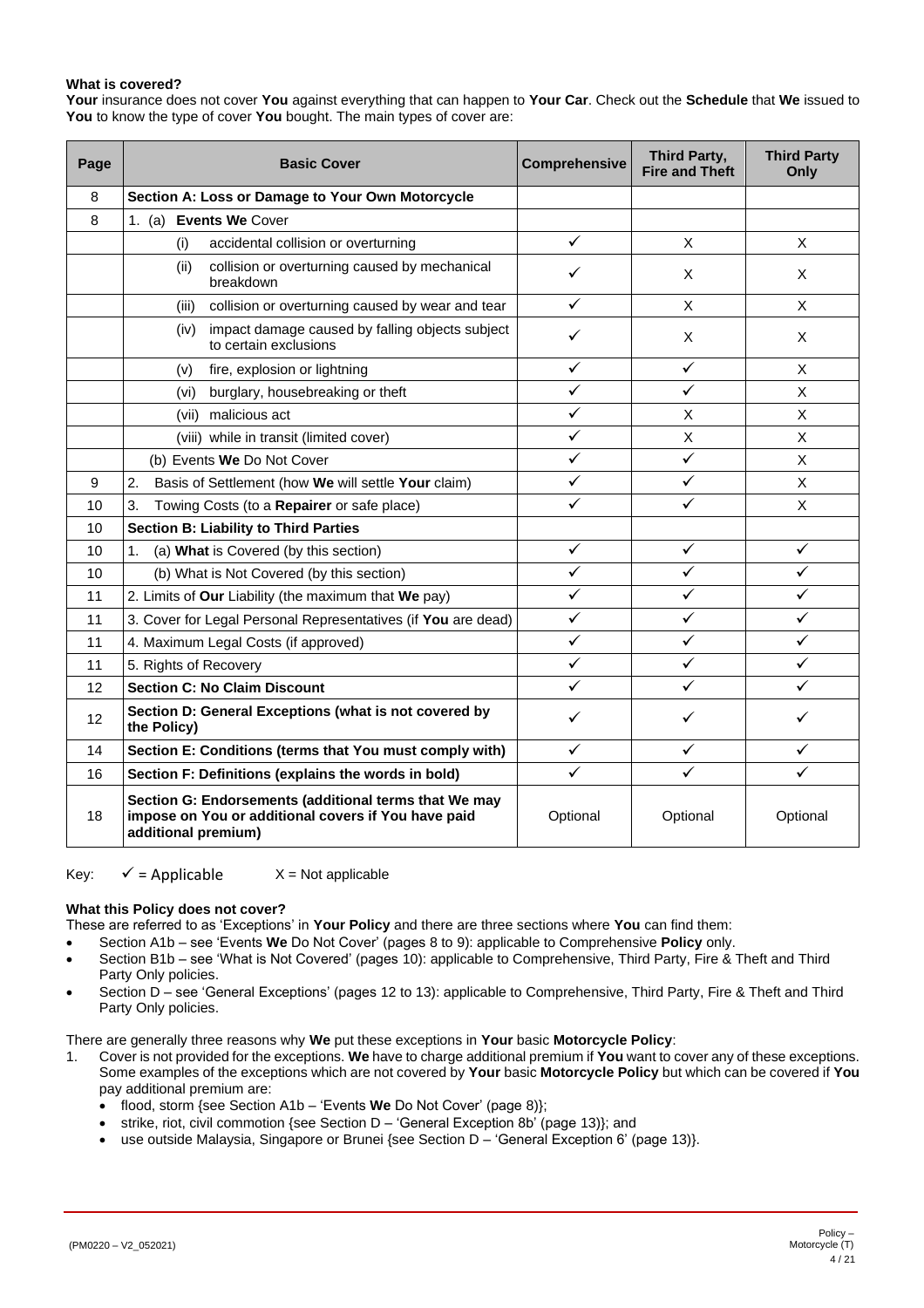# <span id="page-3-0"></span>**What is covered?**

**Your** insurance does not cover **You** against everything that can happen to **Your Car**. Check out the **Schedule** that **We** issued to **You** to know the type of cover **You** bought. The main types of cover are:

| Page              | <b>Basic Cover</b>                                                                                                                  | <b>Comprehensive</b> | Third Party,<br><b>Fire and Theft</b> | <b>Third Party</b><br>Only |
|-------------------|-------------------------------------------------------------------------------------------------------------------------------------|----------------------|---------------------------------------|----------------------------|
| 8                 | Section A: Loss or Damage to Your Own Motorcycle                                                                                    |                      |                                       |                            |
| 8                 | 1. (a) Events We Cover                                                                                                              |                      |                                       |                            |
|                   | accidental collision or overturning<br>(i)                                                                                          | ✓                    | X                                     | X                          |
|                   | (ii)<br>collision or overturning caused by mechanical<br>breakdown                                                                  | ✓                    | X                                     | X                          |
|                   | collision or overturning caused by wear and tear<br>(iii)                                                                           | ✓                    | X                                     | X                          |
|                   | impact damage caused by falling objects subject<br>(iv)<br>to certain exclusions                                                    | ✓                    | X                                     | X                          |
|                   | fire, explosion or lightning<br>(v)                                                                                                 | ✓                    | $\checkmark$                          | X                          |
|                   | burglary, housebreaking or theft<br>(vi)                                                                                            | ✓                    | $\checkmark$                          | $\mathsf{x}$               |
|                   | (vii) malicious act                                                                                                                 | ✓                    | X                                     | X                          |
|                   | (viii) while in transit (limited cover)                                                                                             | ✓                    | X                                     | X                          |
|                   | (b) Events We Do Not Cover                                                                                                          | ✓                    | $\checkmark$                          | X                          |
| 9                 | 2.<br>Basis of Settlement (how We will settle Your claim)                                                                           | ✓                    | $\checkmark$                          | X                          |
| 10                | 3.<br>Towing Costs (to a Repairer or safe place)                                                                                    | ✓                    | ✓                                     | X                          |
| 10                | <b>Section B: Liability to Third Parties</b>                                                                                        |                      |                                       |                            |
| 10                | (a) What is Covered (by this section)<br>1.                                                                                         | ✓                    | $\checkmark$                          | ✓                          |
| 10                | (b) What is Not Covered (by this section)                                                                                           | ✓                    | ✓                                     | ✓                          |
| 11                | 2. Limits of Our Liability (the maximum that We pay)                                                                                | ✓                    | ✓                                     | ✓                          |
| 11                | 3. Cover for Legal Personal Representatives (if You are dead)                                                                       | ✓                    | ✓                                     | ✓                          |
| 11                | 4. Maximum Legal Costs (if approved)                                                                                                | $\checkmark$         | $\checkmark$                          | ✓                          |
| 11                | 5. Rights of Recovery                                                                                                               | $\checkmark$         | ✓                                     | ✓                          |
| $12 \overline{ }$ | <b>Section C: No Claim Discount</b>                                                                                                 | ✓                    | ✓                                     | ✓                          |
| 12                | Section D: General Exceptions (what is not covered by<br>the Policy)                                                                | ✓                    | ✓                                     | ✓                          |
| 14                | Section E: Conditions (terms that You must comply with)                                                                             | ✓                    | ✓                                     | ✓                          |
| 16                | Section F: Definitions (explains the words in bold)                                                                                 | ✓                    | ✓                                     | $\checkmark$               |
| 18                | Section G: Endorsements (additional terms that We may<br>impose on You or additional covers if You have paid<br>additional premium) | Optional             | Optional                              | Optional                   |

Key:  $\checkmark$  = Applicable  $X$  = Not applicable

#### **What this Policy does not cover?**

These are referred to as 'Exceptions' in **Your Policy** and there are three sections where **You** can find them:

• Section A1b – see 'Events **We** Do Not Cover' (page[s 8](#page-7-3) to [9\)](#page-8-1): applicable to Comprehensive **Policy** only.

- Section B1b see 'What is Not Covered' (pages [10\)](#page-9-3): applicable to Comprehensive, Third Party, Fire & Theft and Third Party Only policies.
- Section D see 'General Exceptions' (pages [12](#page-11-1) t[o 13\)](#page-12-0): applicable to Comprehensive, Third Party, Fire & Theft and Third Party Only policies.

There are generally three reasons why **We** put these exceptions in **Your** basic **Motorcycle Policy**:

- 1. Cover is not provided for the exceptions. **We** have to charge additional premium if **You** want to cover any of these exceptions. Some examples of the exceptions which are not covered by **Your** basic **Motorcycle Policy** but which can be covered if **You** pay additional premium are:
	- flood, storm {see Section A1b 'Events **We** Do Not Cover' (page [8\)](#page-7-3)};
	- strike, riot, civil commotion {see Section D 'General Exception 8b' (pag[e 13\)](#page-12-1)}; and
	- use outside Malaysia, Singapore or Brunei {see Section D 'General Exception 6' (page [13\)](#page-12-2)}.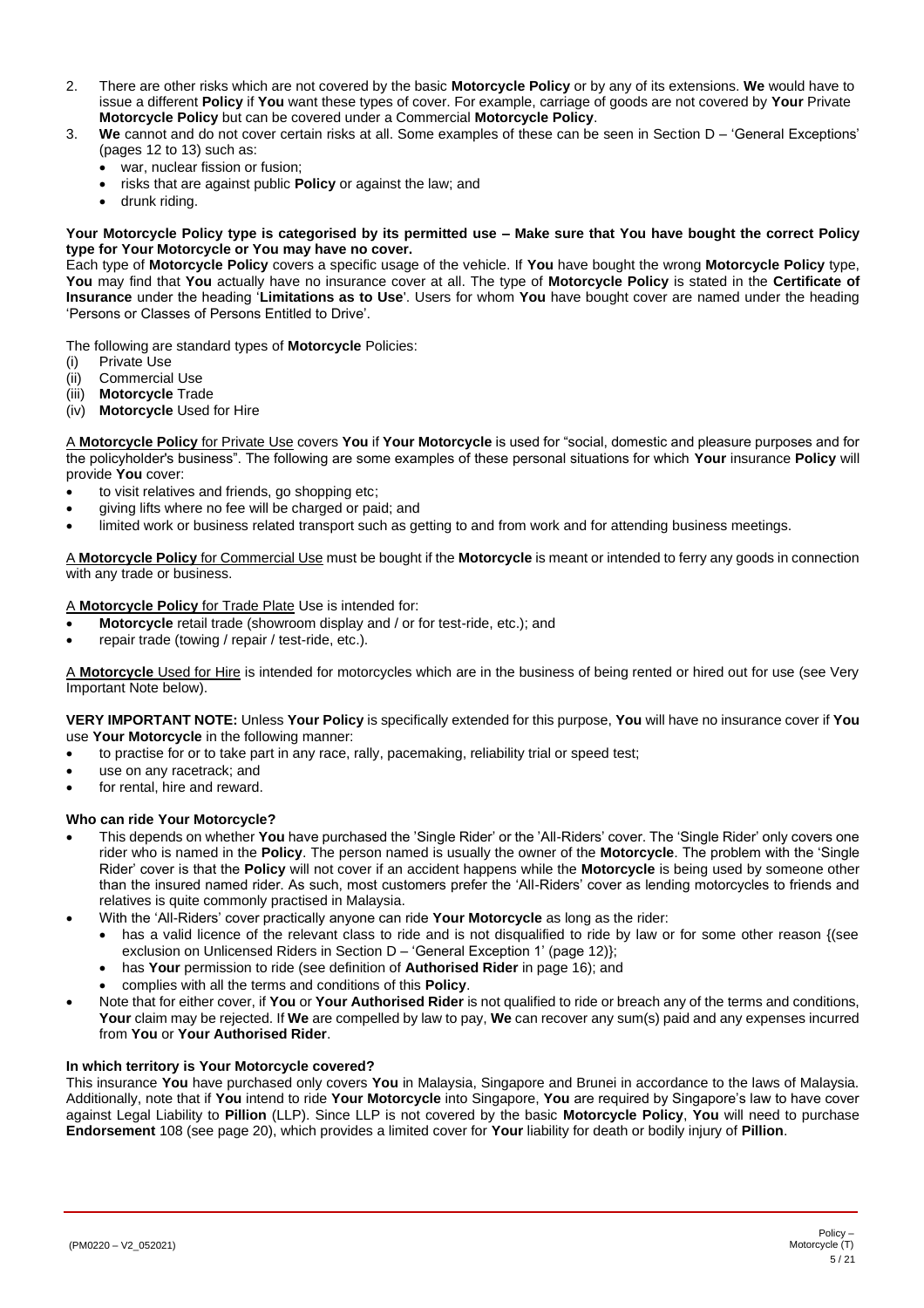- 2. There are other risks which are not covered by the basic **Motorcycle Policy** or by any of its extensions. **We** would have to issue a different **Policy** if **You** want these types of cover. For example, carriage of goods are not covered by **Your** Private **Motorcycle Policy** but can be covered under a Commercial **Motorcycle Policy**.
- 3. **We** cannot and do not cover certain risks at all. Some examples of these can be seen in Section D 'General Exceptions' (pages [12](#page-11-1) t[o 13\)](#page-12-0) such as:
	- war, nuclear fission or fusion;
	- risks that are against public **Policy** or against the law; and
	- drunk riding.

#### **Your Motorcycle Policy type is categorised by its permitted use – Make sure that You have bought the correct Policy type for Your Motorcycle or You may have no cover.**

Each type of **Motorcycle Policy** covers a specific usage of the vehicle. If **You** have bought the wrong **Motorcycle Policy** type, **You** may find that **You** actually have no insurance cover at all. The type of **Motorcycle Policy** is stated in the **Certificate of Insurance** under the heading '**Limitations as to Use**'. Users for whom **You** have bought cover are named under the heading 'Persons or Classes of Persons Entitled to Drive'.

The following are standard types of **Motorcycle** Policies:

- (i) Private Use
- (ii) Commercial Use
- (iii) **Motorcycle** Trade
- (iv) **Motorcycle** Used for Hire

A **Motorcycle Policy** for Private Use covers **You** if **Your Motorcycle** is used for "social, domestic and pleasure purposes and for the policyholder's business". The following are some examples of these personal situations for which **Your** insurance **Policy** will provide **You** cover:

- to visit relatives and friends, go shopping etc;
- giving lifts where no fee will be charged or paid; and
- limited work or business related transport such as getting to and from work and for attending business meetings.

A **Motorcycle Policy** for Commercial Use must be bought if the **Motorcycle** is meant or intended to ferry any goods in connection with any trade or business.

# A **Motorcycle Policy** for Trade Plate Use is intended for:

- **Motorcycle** retail trade (showroom display and / or for test-ride, etc.); and
- repair trade (towing / repair / test-ride, etc.).

A **Motorcycle** Used for Hire is intended for motorcycles which are in the business of being rented or hired out for use (see Very Important Note below).

**VERY IMPORTANT NOTE:** Unless **Your Policy** is specifically extended for this purpose, **You** will have no insurance cover if **You** use **Your Motorcycle** in the following manner:

- to practise for or to take part in any race, rally, pacemaking, reliability trial or speed test;
- use on any racetrack; and
- for rental, hire and reward.

#### **Who can ride Your Motorcycle?**

- This depends on whether **You** have purchased the 'Single Rider' or the 'All-Riders' cover. The 'Single Rider' only covers one rider who is named in the **Policy**. The person named is usually the owner of the **Motorcycle**. The problem with the 'Single Rider' cover is that the **Policy** will not cover if an accident happens while the **Motorcycle** is being used by someone other than the insured named rider. As such, most customers prefer the 'All-Riders' cover as lending motorcycles to friends and relatives is quite commonly practised in Malaysia.
	- With the 'All-Riders' cover practically anyone can ride **Your Motorcycle** as long as the rider:
		- has a valid licence of the relevant class to ride and is not disqualified to ride by law or for some other reason {(see exclusion on Unlicensed Riders in Section D – 'General Exception 1' (pag[e 12\)](#page-11-1)};
		- has **Your** permission to ride (see definition of **Authorised Rider** in page [16\)](#page-15-1); and
		- complies with all the terms and conditions of this **Policy**.
- Note that for either cover, if **You** or **Your Authorised Rider** is not qualified to ride or breach any of the terms and conditions, **Your** claim may be rejected. If **We** are compelled by law to pay, **We** can recover any sum(s) paid and any expenses incurred from **You** or **Your Authorised Rider**.

#### **In which territory is Your Motorcycle covered?**

This insurance **You** have purchased only covers **You** in Malaysia, Singapore and Brunei in accordance to the laws of Malaysia. Additionally, note that if **You** intend to ride **Your Motorcycle** into Singapore, **You** are required by Singapore's law to have cover against Legal Liability to **Pillion** (LLP). Since LLP is not covered by the basic **Motorcycle Policy**, **You** will need to purchase **Endorsement** 108 (see pag[e 20\)](#page-19-0), which provides a limited cover for **Your** liability for death or bodily injury of **Pillion**.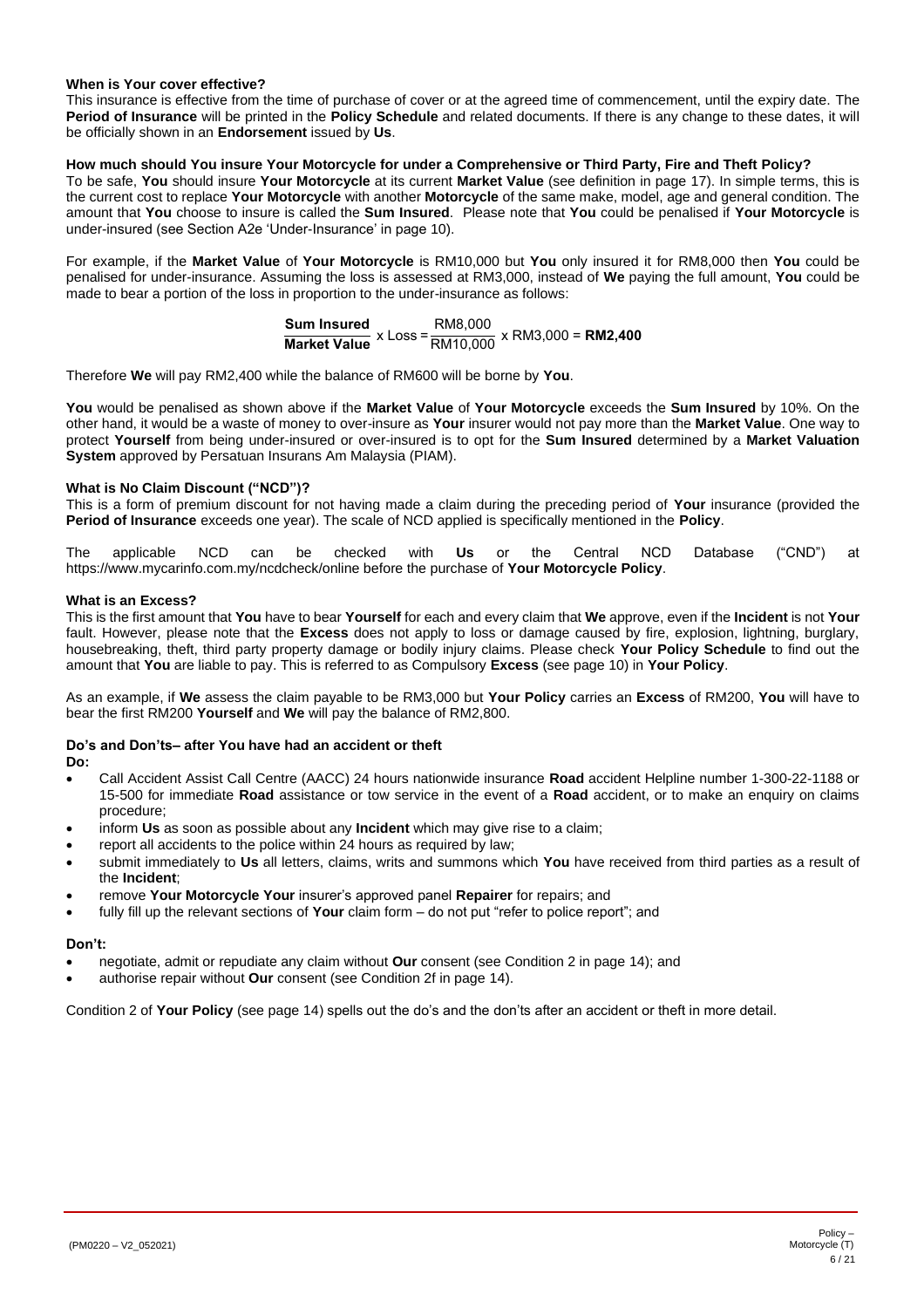# **When is Your cover effective?**

This insurance is effective from the time of purchase of cover or at the agreed time of commencement, until the expiry date. The **Period of Insurance** will be printed in the **Policy Schedule** and related documents. If there is any change to these dates, it will be officially shown in an **Endorsement** issued by **Us**.

# **How much should You insure Your Motorcycle for under a Comprehensive or Third Party, Fire and Theft Policy?**

To be safe, **You** should insure **Your Motorcycle** at its current **Market Value** (see definition in pag[e 17\)](#page-16-0). In simple terms, this is the current cost to replace **Your Motorcycle** with another **Motorcycle** of the same make, model, age and general condition. The amount that **You** choose to insure is called the **Sum Insured**. Please note that **You** could be penalised if **Your Motorcycle** is under-insured (see Section A2e 'Under-Insurance' in page [10\)](#page-9-4).

For example, if the **Market Value** of **Your Motorcycle** is RM10,000 but **You** only insured it for RM8,000 then **You** could be penalised for under-insurance. Assuming the loss is assessed at RM3,000, instead of **We** paying the full amount, **You** could be made to bear a portion of the loss in proportion to the under-insurance as follows:

**Sum Insured**<br>Market Value × Loss = <mark>RM10,000</mark> × RM3,000 = RM2,400

Therefore **We** will pay RM2,400 while the balance of RM600 will be borne by **You**.

**You** would be penalised as shown above if the **Market Value** of **Your Motorcycle** exceeds the **Sum Insured** by 10%. On the other hand, it would be a waste of money to over-insure as **Your** insurer would not pay more than the **Market Value**. One way to protect **Yourself** from being under-insured or over-insured is to opt for the **Sum Insured** determined by a **Market Valuation System** approved by Persatuan Insurans Am Malaysia (PIAM).

#### **What is No Claim Discount ("NCD")?**

This is a form of premium discount for not having made a claim during the preceding period of **Your** insurance (provided the **Period of Insurance** exceeds one year). The scale of NCD applied is specifically mentioned in the **Policy**.

The applicable NCD can be checked with **Us** or the Central NCD Database ("CND") at https://www.mycarinfo.com.my/ncdcheck/online before the purchase of **Your Motorcycle Policy**.

#### **What is an Excess?**

This is the first amount that **You** have to bear **Yourself** for each and every claim that **We** approve, even if the **Incident** is not **Your** fault. However, please note that the **Excess** does not apply to loss or damage caused by fire, explosion, lightning, burglary, housebreaking, theft, third party property damage or bodily injury claims. Please check **Your Policy Schedule** to find out the amount that **You** are liable to pay. This is referred to as Compulsory **Excess** (see pag[e 10\)](#page-9-5) in **Your Policy**.

As an example, if **We** assess the claim payable to be RM3,000 but **Your Policy** carries an **Excess** of RM200, **You** will have to bear the first RM200 **Yourself** and **We** will pay the balance of RM2,800.

#### **Do's and Don'ts– after You have had an accident or theft**

**Do:**

- Call Accident Assist Call Centre (AACC) 24 hours nationwide insurance **Road** accident Helpline number 1-300-22-1188 or 15-500 for immediate **Road** assistance or tow service in the event of a **Road** accident, or to make an enquiry on claims procedure;
- inform **Us** as soon as possible about any **Incident** which may give rise to a claim;
- report all accidents to the police within 24 hours as required by law;
- submit immediately to **Us** all letters, claims, writs and summons which **You** have received from third parties as a result of the **Incident**;
- remove **Your Motorcycle Your** insurer's approved panel **Repairer** for repairs; and
- fully fill up the relevant sections of **Your** claim form do not put "refer to police report"; and

#### **Don't:**

- negotiate, admit or repudiate any claim without **Our** consent (see Condition 2 in page [14\)](#page-13-1); and
- authorise repair without **Our** consent (see Condition 2f in page [14\)](#page-13-2).

Condition 2 of **Your Policy** (see page [14\)](#page-13-1) spells out the do's and the don'ts after an accident or theft in more detail.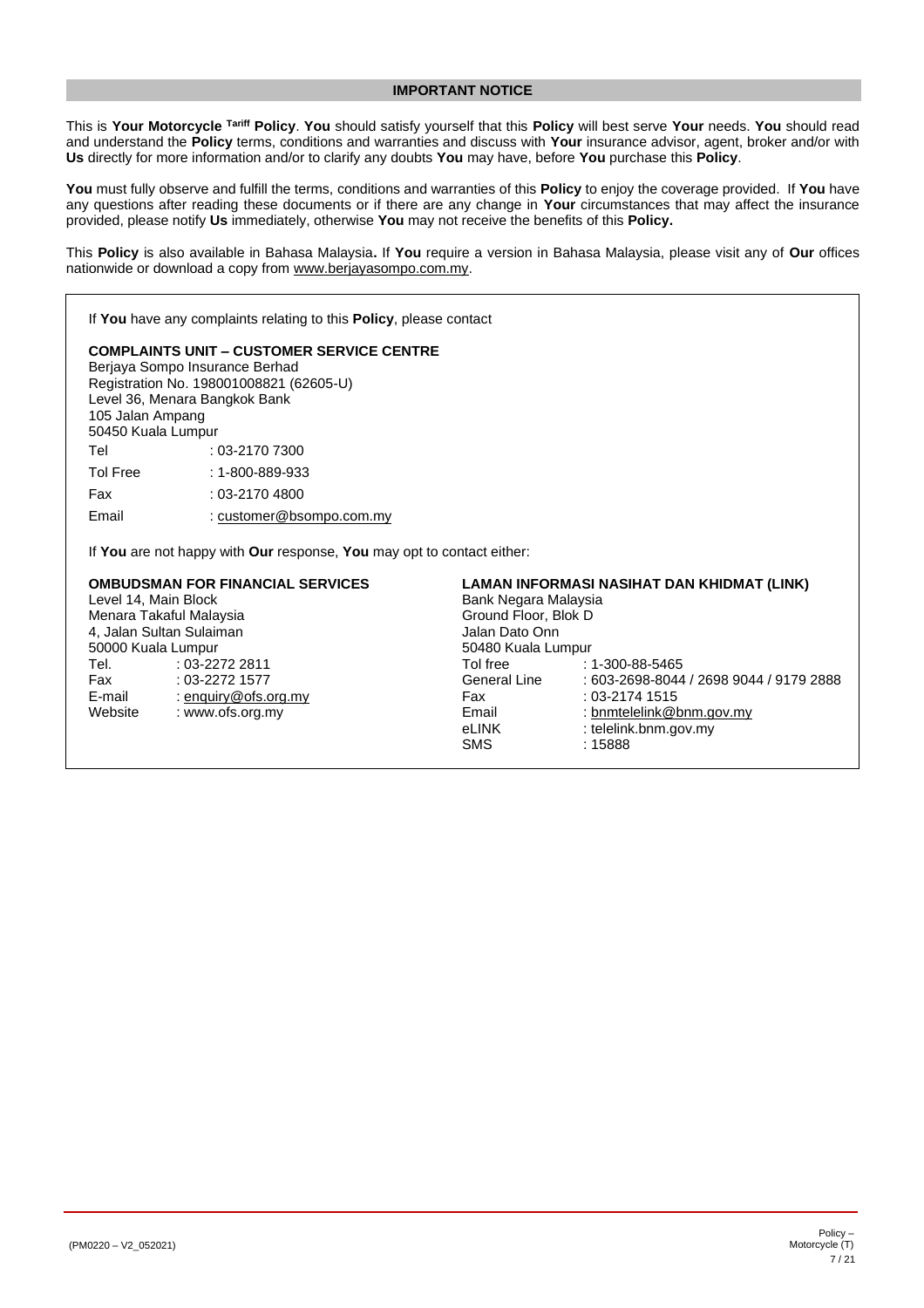# **IMPORTANT NOTICE**

<span id="page-6-0"></span>This is **Your Motorcycle Tariff Policy**. **You** should satisfy yourself that this **Policy** will best serve **Your** needs. **You** should read and understand the **Policy** terms, conditions and warranties and discuss with **Your** insurance advisor, agent, broker and/or with **Us** directly for more information and/or to clarify any doubts **You** may have, before **You** purchase this **Policy**.

**You** must fully observe and fulfill the terms, conditions and warranties of this **Policy** to enjoy the coverage provided. If **You** have any questions after reading these documents or if there are any change in **Your** circumstances that may affect the insurance provided, please notify **Us** immediately, otherwise **You** may not receive the benefits of this **Policy.**

This **Policy** is also available in Bahasa Malaysia**.** If **You** require a version in Bahasa Malaysia, please visit any of **Our** offices nationwide or download a copy from [www.berjayasompo.com.my.](http://www.berjayasompo.com.my/)

If **You** have any complaints relating to this **Policy**, please contact **COMPLAINTS UNIT – CUSTOMER SERVICE CENTRE** Berjaya Sompo Insurance Berhad Registration No. 198001008821 (62605-U) Level 36, Menara Bangkok Bank 105 Jalan Ampang 50450 Kuala Lumpur Tel : 03-2170 7300 Tol Free : 1-800-889-933 Fax : 03-2170 4800 Email : [customer@bsompo.com.my](mailto:customer@bsompo.com.my) If **You** are not happy with **Our** response, **You** may opt to contact either: **OMBUDSMAN FOR FINANCIAL SERVICES** Level 14, Main Block **LAMAN INFORMASI NASIHAT DAN KHIDMAT (LINK)** Bank Negara Malaysia

Menara Takaful Malaysia 4, Jalan Sultan Sulaiman 50000 Kuala Lumpur Ground Floor, Blok D Jalan Dato Onn 50480 Kuala Lumpur Tel. Fax E-mail Website : 03-2272 2811 : 03-2272 1577 [: enquiry@ofs.org.my](mailto:enquiry@ofs.org.my) : www.ofs.org.my Tol free General Line Fax Email eLINK SMS : 1-300-88-5465 : 603-2698-8044 / 2698 9044 / 9179 2888 : 03-2174 1515 [: bnmtelelink@bnm.gov.my](mailto:bnmtelelink@bnm.gov.my) : telelink.bnm.gov.my : 15888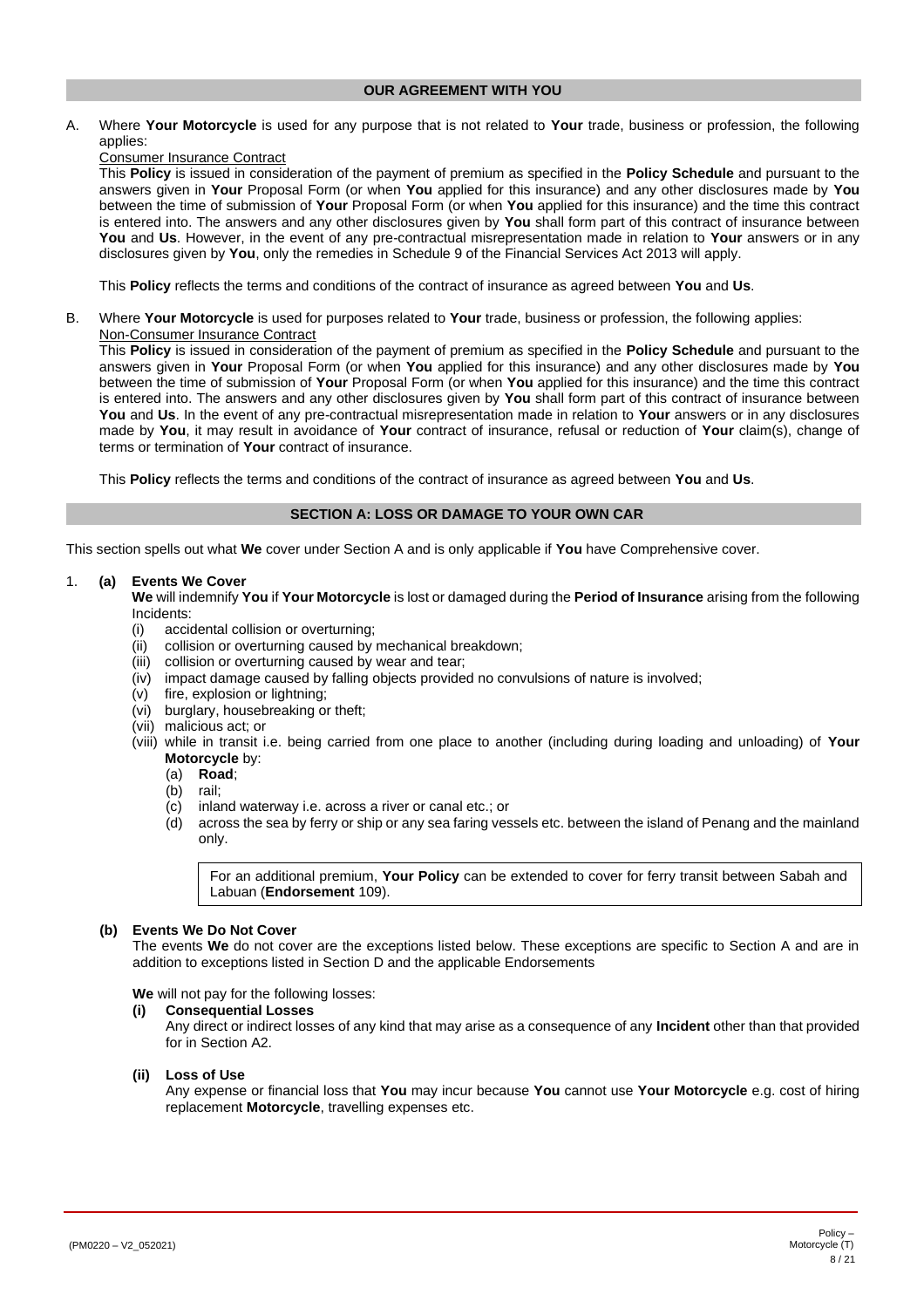#### **OUR AGREEMENT WITH YOU**

<span id="page-7-0"></span>A. Where **Your Motorcycle** is used for any purpose that is not related to **Your** trade, business or profession, the following applies:

# Consumer Insurance Contract

This **Policy** is issued in consideration of the payment of premium as specified in the **Policy Schedule** and pursuant to the answers given in **Your** Proposal Form (or when **You** applied for this insurance) and any other disclosures made by **You** between the time of submission of **Your** Proposal Form (or when **You** applied for this insurance) and the time this contract is entered into. The answers and any other disclosures given by **You** shall form part of this contract of insurance between **You** and **Us**. However, in the event of any pre-contractual misrepresentation made in relation to **Your** answers or in any disclosures given by **You**, only the remedies in Schedule 9 of the Financial Services Act 2013 will apply.

This **Policy** reflects the terms and conditions of the contract of insurance as agreed between **You** and **Us**.

B. Where **Your Motorcycle** is used for purposes related to **Your** trade, business or profession, the following applies:

Non-Consumer Insurance Contract

This **Policy** is issued in consideration of the payment of premium as specified in the **Policy Schedule** and pursuant to the answers given in **Your** Proposal Form (or when **You** applied for this insurance) and any other disclosures made by **You** between the time of submission of **Your** Proposal Form (or when **You** applied for this insurance) and the time this contract is entered into. The answers and any other disclosures given by **You** shall form part of this contract of insurance between **You** and **Us**. In the event of any pre-contractual misrepresentation made in relation to **Your** answers or in any disclosures made by **You**, it may result in avoidance of **Your** contract of insurance, refusal or reduction of **Your** claim(s), change of terms or termination of **Your** contract of insurance.

This **Policy** reflects the terms and conditions of the contract of insurance as agreed between **You** and **Us**.

# **SECTION A: LOSS OR DAMAGE TO YOUR OWN CAR**

<span id="page-7-1"></span>This section spells out what **We** cover under Section A and is only applicable if **You** have Comprehensive cover.

# <span id="page-7-2"></span>1. **(a) Events We Cover**

**We** will indemnify **You** if **Your Motorcycle** is lost or damaged during the **Period of Insurance** arising from the following Incidents:

- (i) accidental collision or overturning;
- (ii) collision or overturning caused by mechanical breakdown;
- (iii) collision or overturning caused by wear and tear;
- (iv) impact damage caused by falling objects provided no convulsions of nature is involved;
- (v) fire, explosion or lightning;
- (vi) burglary, housebreaking or theft;
- (vii) malicious act; or
- (viii) while in transit i.e. being carried from one place to another (including during loading and unloading) of **Your Motorcycle** by:
	- (a) **Road**;
	- (b) rail;
	- (c) inland waterway i.e. across a river or canal etc.; or
	- (d) across the sea by ferry or ship or any sea faring vessels etc. between the island of Penang and the mainland only.

For an additional premium, **Your Policy** can be extended to cover for ferry transit between Sabah and Labuan (**Endorsement** 109).

#### <span id="page-7-3"></span>**(b) Events We Do Not Cover**

The events **We** do not cover are the exceptions listed below. These exceptions are specific to Section A and are in addition to exceptions listed in Section D and the applicable Endorsements

**We** will not pay for the following losses:

#### **(i) Consequential Losses**

Any direct or indirect losses of any kind that may arise as a consequence of any **Incident** other than that provided for in Section A2.

# **(ii) Loss of Use**

Any expense or financial loss that **You** may incur because **You** cannot use **Your Motorcycle** e.g. cost of hiring replacement **Motorcycle**, travelling expenses etc.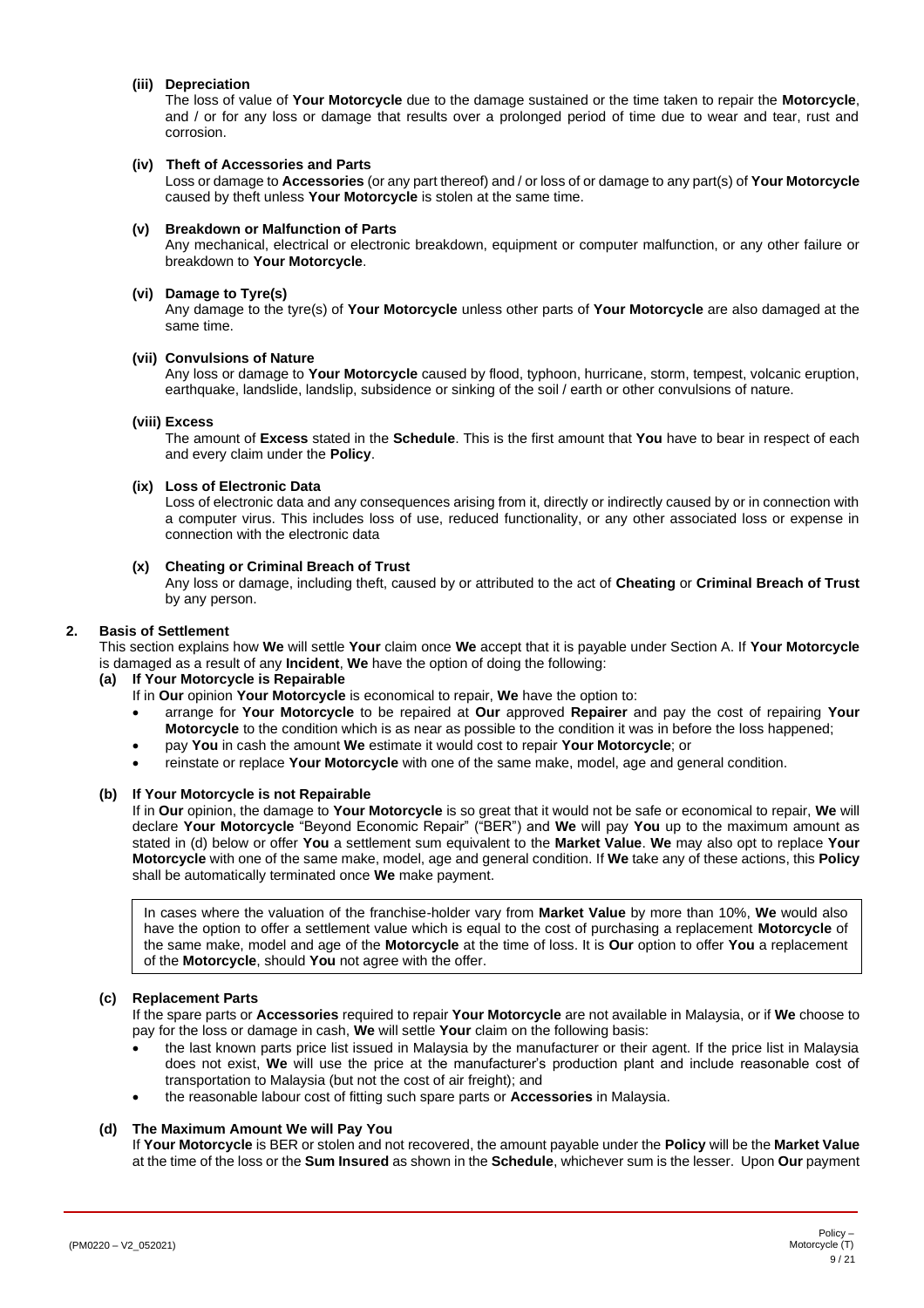#### **(iii) Depreciation**

The loss of value of **Your Motorcycle** due to the damage sustained or the time taken to repair the **Motorcycle**, and / or for any loss or damage that results over a prolonged period of time due to wear and tear, rust and corrosion.

#### **(iv) Theft of Accessories and Parts**

Loss or damage to **Accessories** (or any part thereof) and / or loss of or damage to any part(s) of **Your Motorcycle** caused by theft unless **Your Motorcycle** is stolen at the same time.

#### **(v) Breakdown or Malfunction of Parts**

Any mechanical, electrical or electronic breakdown, equipment or computer malfunction, or any other failure or breakdown to **Your Motorcycle**.

#### **(vi) Damage to Tyre(s)**

Any damage to the tyre(s) of **Your Motorcycle** unless other parts of **Your Motorcycle** are also damaged at the same time.

#### **(vii) Convulsions of Nature**

Any loss or damage to **Your Motorcycle** caused by flood, typhoon, hurricane, storm, tempest, volcanic eruption, earthquake, landslide, landslip, subsidence or sinking of the soil / earth or other convulsions of nature.

#### **(viii) Excess**

The amount of **Excess** stated in the **Schedule**. This is the first amount that **You** have to bear in respect of each and every claim under the **Policy**.

# **(ix) Loss of Electronic Data**

Loss of electronic data and any consequences arising from it, directly or indirectly caused by or in connection with a computer virus. This includes loss of use, reduced functionality, or any other associated loss or expense in connection with the electronic data

# **(x) Cheating or Criminal Breach of Trust**

Any loss or damage, including theft, caused by or attributed to the act of **Cheating** or **Criminal Breach of Trust** by any person.

#### <span id="page-8-1"></span><span id="page-8-0"></span>**2. Basis of Settlement**

This section explains how **We** will settle **Your** claim once **We** accept that it is payable under Section A. If **Your Motorcycle** is damaged as a result of any **Incident**, **We** have the option of doing the following:

#### **(a) If Your Motorcycle is Repairable**

If in **Our** opinion **Your Motorcycle** is economical to repair, **We** have the option to:

- arrange for **Your Motorcycle** to be repaired at **Our** approved **Repairer** and pay the cost of repairing **Your Motorcycle** to the condition which is as near as possible to the condition it was in before the loss happened;
- pay **You** in cash the amount **We** estimate it would cost to repair **Your Motorcycle**; or
- reinstate or replace **Your Motorcycle** with one of the same make, model, age and general condition.

#### **(b) If Your Motorcycle is not Repairable**

If in **Our** opinion, the damage to **Your Motorcycle** is so great that it would not be safe or economical to repair, **We** will declare **Your Motorcycle** "Beyond Economic Repair" ("BER") and **We** will pay **You** up to the maximum amount as stated in (d) below or offer **You** a settlement sum equivalent to the **Market Value**. **We** may also opt to replace **Your Motorcycle** with one of the same make, model, age and general condition. If **We** take any of these actions, this **Policy** shall be automatically terminated once **We** make payment.

In cases where the valuation of the franchise-holder vary from **Market Value** by more than 10%, **We** would also have the option to offer a settlement value which is equal to the cost of purchasing a replacement **Motorcycle** of the same make, model and age of the **Motorcycle** at the time of loss. It is **Our** option to offer **You** a replacement of the **Motorcycle**, should **You** not agree with the offer.

#### **(c) Replacement Parts**

If the spare parts or **Accessories** required to repair **Your Motorcycle** are not available in Malaysia, or if **We** choose to pay for the loss or damage in cash, **We** will settle **Your** claim on the following basis:

- the last known parts price list issued in Malaysia by the manufacturer or their agent. If the price list in Malaysia does not exist, **We** will use the price at the manufacturer's production plant and include reasonable cost of transportation to Malaysia (but not the cost of air freight); and
- the reasonable labour cost of fitting such spare parts or **Accessories** in Malaysia.

# **(d) The Maximum Amount We will Pay You**

If **Your Motorcycle** is BER or stolen and not recovered, the amount payable under the **Policy** will be the **Market Value** at the time of the loss or the **Sum Insured** as shown in the **Schedule**, whichever sum is the lesser. Upon **Our** payment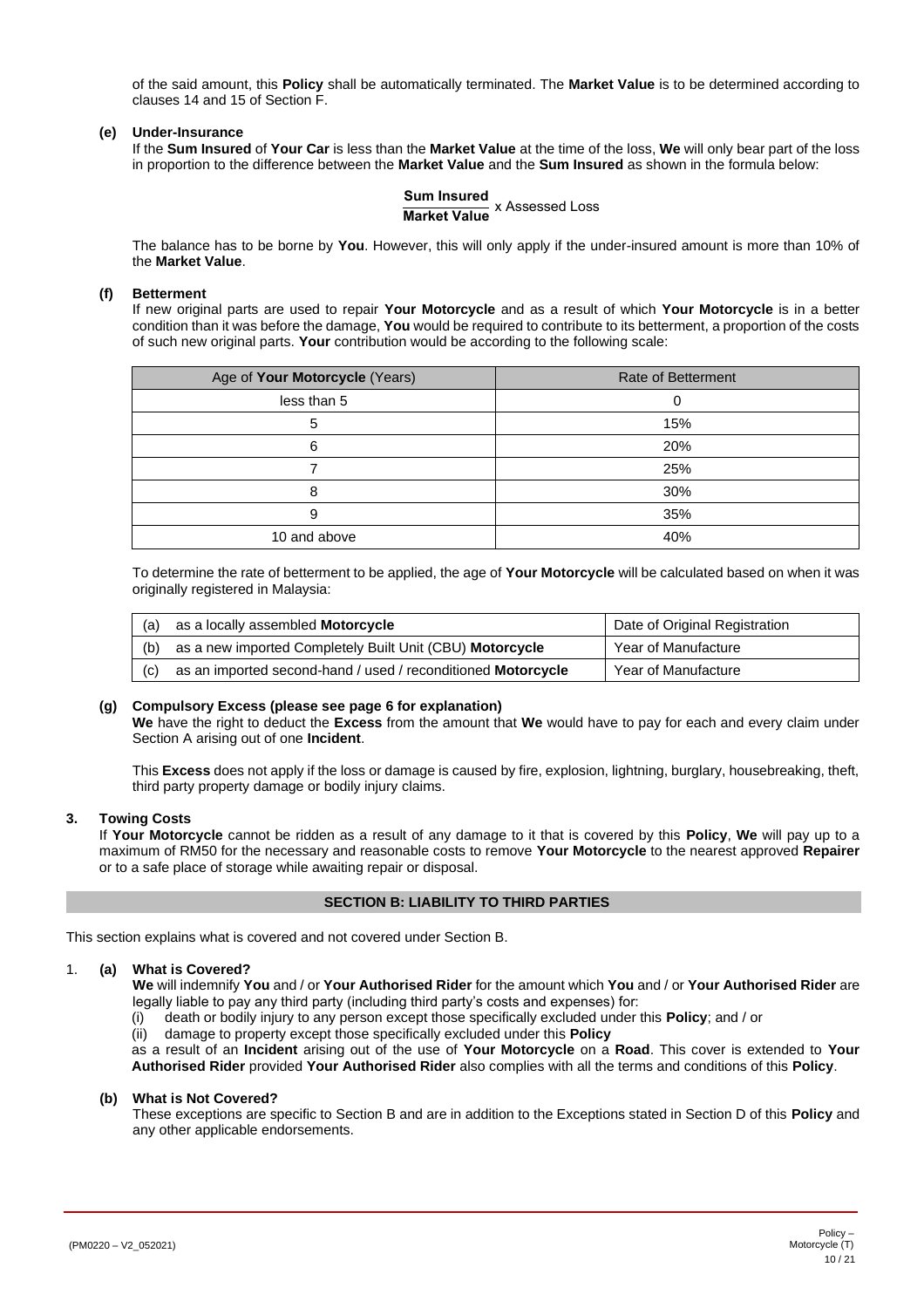of the said amount, this **Policy** shall be automatically terminated. The **Market Value** is to be determined according to clauses 14 and 15 of Section F.

# <span id="page-9-4"></span>**(e) Under-Insurance**

If the **Sum Insured** of **Your Car** is less than the **Market Value** at the time of the loss, **We** will only bear part of the loss in proportion to the difference between the **Market Value** and the **Sum Insured** as shown in the formula below:

**Sum Insured Market Value** x Assessed Loss

The balance has to be borne by **You**. However, this will only apply if the under-insured amount is more than 10% of the **Market Value**.

#### **(f) Betterment**

If new original parts are used to repair **Your Motorcycle** and as a result of which **Your Motorcycle** is in a better condition than it was before the damage, **You** would be required to contribute to its betterment, a proportion of the costs of such new original parts. **Your** contribution would be according to the following scale:

| Age of Your Motorcycle (Years) | <b>Rate of Betterment</b> |
|--------------------------------|---------------------------|
| less than 5                    |                           |
|                                | 15%                       |
| 6                              | 20%                       |
|                                | 25%                       |
|                                | 30%                       |
| 9                              | 35%                       |
| 10 and above                   | 40%                       |

To determine the rate of betterment to be applied, the age of **Your Motorcycle** will be calculated based on when it was originally registered in Malaysia:

| (a) | as a locally assembled Motorcycle                            | Date of Original Registration |  |
|-----|--------------------------------------------------------------|-------------------------------|--|
| (b) | as a new imported Completely Built Unit (CBU) Motorcycle     | Year of Manufacture           |  |
| (C) | as an imported second-hand / used / reconditioned Motorcycle | Year of Manufacture           |  |

# <span id="page-9-5"></span>**(g) Compulsory Excess (please see page 6 for explanation)**

**We** have the right to deduct the **Excess** from the amount that **We** would have to pay for each and every claim under Section A arising out of one **Incident**.

This **Excess** does not apply if the loss or damage is caused by fire, explosion, lightning, burglary, housebreaking, theft, third party property damage or bodily injury claims.

#### <span id="page-9-1"></span>**3. Towing Costs**

If **Your Motorcycle** cannot be ridden as a result of any damage to it that is covered by this **Policy**, **We** will pay up to a maximum of RM50 for the necessary and reasonable costs to remove **Your Motorcycle** to the nearest approved **Repairer** or to a safe place of storage while awaiting repair or disposal.

#### **SECTION B: LIABILITY TO THIRD PARTIES**

<span id="page-9-0"></span>This section explains what is covered and not covered under Section B.

#### <span id="page-9-2"></span>1. **(a) What is Covered?**

**We** will indemnify **You** and / or **Your Authorised Rider** for the amount which **You** and / or **Your Authorised Rider** are legally liable to pay any third party (including third party's costs and expenses) for:

(i) death or bodily injury to any person except those specifically excluded under this **Policy**; and / or

(ii) damage to property except those specifically excluded under this **Policy**

as a result of an **Incident** arising out of the use of **Your Motorcycle** on a **Road**. This cover is extended to **Your Authorised Rider** provided **Your Authorised Rider** also complies with all the terms and conditions of this **Policy**.

#### <span id="page-9-3"></span>**(b) What is Not Covered?**

These exceptions are specific to Section B and are in addition to the Exceptions stated in Section D of this **Policy** and any other applicable endorsements.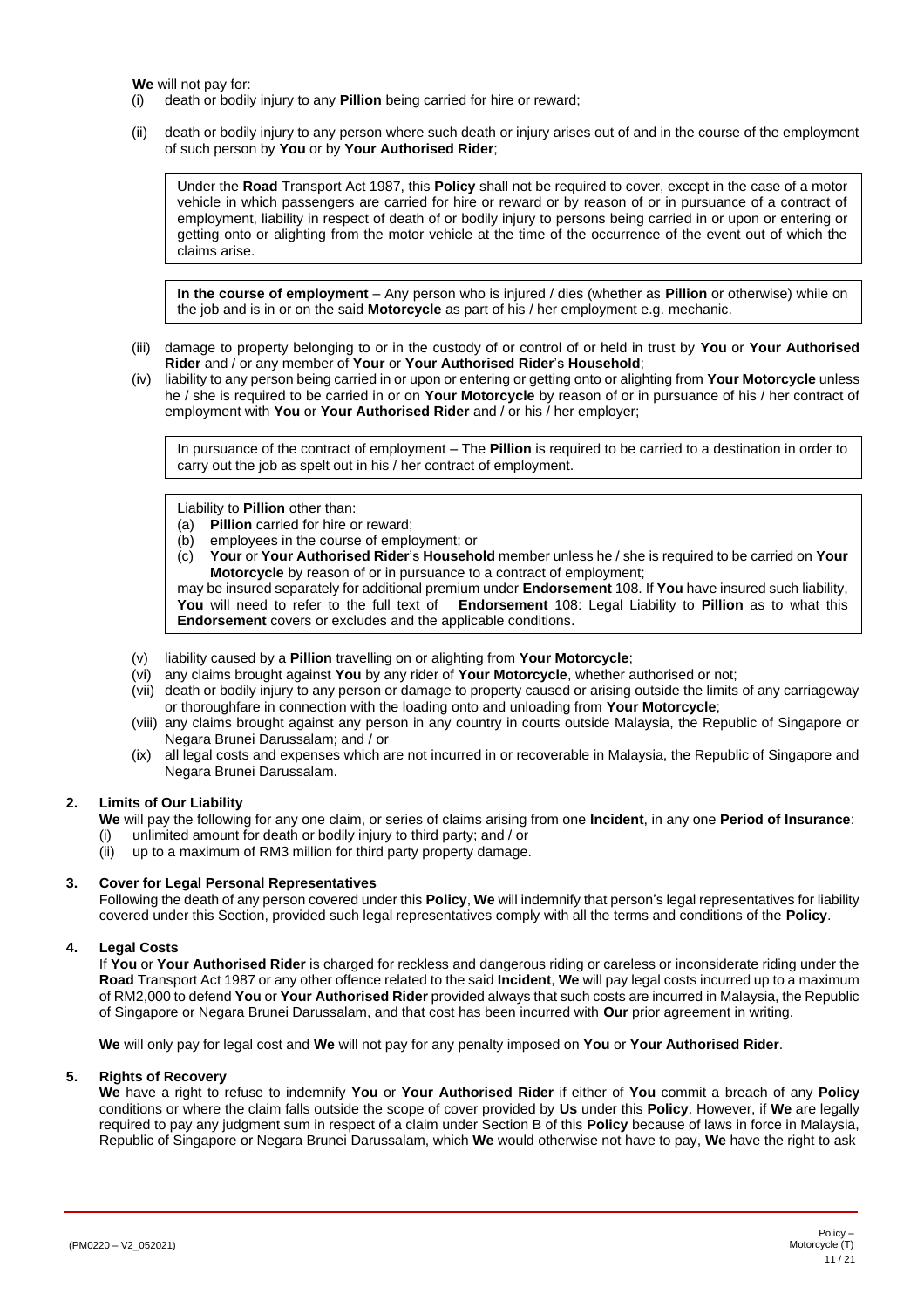**We** will not pay for:

- (i) death or bodily injury to any **Pillion** being carried for hire or reward;
- (ii) death or bodily injury to any person where such death or injury arises out of and in the course of the employment of such person by **You** or by **Your Authorised Rider**;

Under the **Road** Transport Act 1987, this **Policy** shall not be required to cover, except in the case of a motor vehicle in which passengers are carried for hire or reward or by reason of or in pursuance of a contract of employment, liability in respect of death of or bodily injury to persons being carried in or upon or entering or getting onto or alighting from the motor vehicle at the time of the occurrence of the event out of which the claims arise.

**In the course of employment** – Any person who is injured / dies (whether as **Pillion** or otherwise) while on the job and is in or on the said **Motorcycle** as part of his / her employment e.g. mechanic.

- (iii) damage to property belonging to or in the custody of or control of or held in trust by **You** or **Your Authorised Rider** and / or any member of **Your** or **Your Authorised Rider**'s **Household**;
- (iv) liability to any person being carried in or upon or entering or getting onto or alighting from **Your Motorcycle** unless he / she is required to be carried in or on **Your Motorcycle** by reason of or in pursuance of his / her contract of employment with **You** or **Your Authorised Rider** and / or his / her employer;

In pursuance of the contract of employment – The **Pillion** is required to be carried to a destination in order to carry out the job as spelt out in his / her contract of employment.

Liability to **Pillion** other than:

- (a) **Pillion** carried for hire or reward;
- (b) employees in the course of employment; or
- (c) **Your** or **Your Authorised Rider**'s **Household** member unless he / she is required to be carried on **Your Motorcycle** by reason of or in pursuance to a contract of employment;

may be insured separately for additional premium under **Endorsement** 108. If **You** have insured such liability, **You** will need to refer to the full text of **Endorsement** 108: Legal Liability to **Pillion** as to what this **Endorsement** covers or excludes and the applicable conditions.

- (v) liability caused by a **Pillion** travelling on or alighting from **Your Motorcycle**;
- (vi) any claims brought against **You** by any rider of **Your Motorcycle**, whether authorised or not;
- (vii) death or bodily injury to any person or damage to property caused or arising outside the limits of any carriageway or thoroughfare in connection with the loading onto and unloading from **Your Motorcycle**;
- (viii) any claims brought against any person in any country in courts outside Malaysia, the Republic of Singapore or Negara Brunei Darussalam; and / or
- (ix) all legal costs and expenses which are not incurred in or recoverable in Malaysia, the Republic of Singapore and Negara Brunei Darussalam.

# **2. Limits of Our Liability**

<span id="page-10-0"></span>**We** will pay the following for any one claim, or series of claims arising from one **Incident**, in any one **Period of Insurance**:

- (i) unlimited amount for death or bodily injury to third party; and / or
	- up to a maximum of RM3 million for third party property damage.

# **3. Cover for Legal Personal Representatives**

<span id="page-10-1"></span>Following the death of any person covered under this **Policy**, **We** will indemnify that person's legal representatives for liability covered under this Section, provided such legal representatives comply with all the terms and conditions of the **Policy**.

# **4. Legal Costs**

<span id="page-10-2"></span>If **You** or **Your Authorised Rider** is charged for reckless and dangerous riding or careless or inconsiderate riding under the **Road** Transport Act 1987 or any other offence related to the said **Incident**, **We** will pay legal costs incurred up to a maximum of RM2,000 to defend **You** or **Your Authorised Rider** provided always that such costs are incurred in Malaysia, the Republic of Singapore or Negara Brunei Darussalam, and that cost has been incurred with **Our** prior agreement in writing.

**We** will only pay for legal cost and **We** will not pay for any penalty imposed on **You** or **Your Authorised Rider**.

#### **5. Rights of Recovery**

<span id="page-10-3"></span>**We** have a right to refuse to indemnify **You** or **Your Authorised Rider** if either of **You** commit a breach of any **Policy** conditions or where the claim falls outside the scope of cover provided by **Us** under this **Policy**. However, if **We** are legally required to pay any judgment sum in respect of a claim under Section B of this **Policy** because of laws in force in Malaysia, Republic of Singapore or Negara Brunei Darussalam, which **We** would otherwise not have to pay, **We** have the right to ask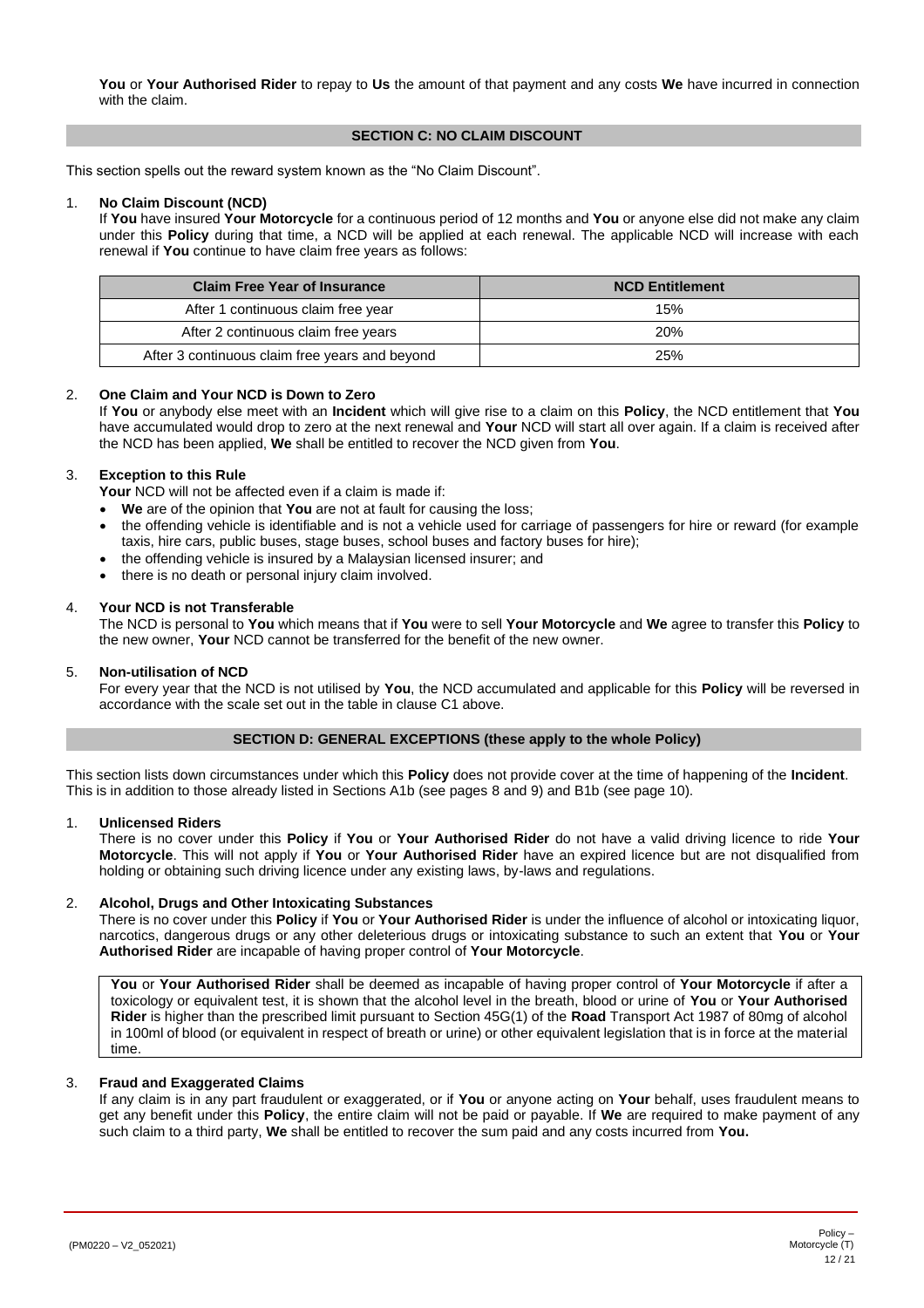**You** or **Your Authorised Rider** to repay to **Us** the amount of that payment and any costs **We** have incurred in connection with the claim.

# **SECTION C: NO CLAIM DISCOUNT**

<span id="page-11-0"></span>This section spells out the reward system known as the "No Claim Discount".

#### 1. **No Claim Discount (NCD)**

If **You** have insured **Your Motorcycle** for a continuous period of 12 months and **You** or anyone else did not make any claim under this **Policy** during that time, a NCD will be applied at each renewal. The applicable NCD will increase with each renewal if **You** continue to have claim free years as follows:

| <b>Claim Free Year of Insurance</b>            | <b>NCD Entitlement</b> |
|------------------------------------------------|------------------------|
| After 1 continuous claim free year             | 15%                    |
| After 2 continuous claim free years            | <b>20%</b>             |
| After 3 continuous claim free years and beyond | 25%                    |

#### 2. **One Claim and Your NCD is Down to Zero**

If **You** or anybody else meet with an **Incident** which will give rise to a claim on this **Policy**, the NCD entitlement that **You** have accumulated would drop to zero at the next renewal and **Your** NCD will start all over again. If a claim is received after the NCD has been applied, **We** shall be entitled to recover the NCD given from **You**.

#### 3. **Exception to this Rule**

**Your** NCD will not be affected even if a claim is made if:

- **We** are of the opinion that **You** are not at fault for causing the loss;
- the offending vehicle is identifiable and is not a vehicle used for carriage of passengers for hire or reward (for example taxis, hire cars, public buses, stage buses, school buses and factory buses for hire);
- the offending vehicle is insured by a Malaysian licensed insurer; and
- there is no death or personal injury claim involved.

# 4. **Your NCD is not Transferable**

The NCD is personal to **You** which means that if **You** were to sell **Your Motorcycle** and **We** agree to transfer this **Policy** to the new owner, **Your** NCD cannot be transferred for the benefit of the new owner.

#### 5. **Non-utilisation of NCD**

For every year that the NCD is not utilised by **You**, the NCD accumulated and applicable for this **Policy** will be reversed in accordance with the scale set out in the table in clause C1 above.

# **SECTION D: GENERAL EXCEPTIONS (these apply to the whole Policy)**

<span id="page-11-1"></span>This section lists down circumstances under which this **Policy** does not provide cover at the time of happening of the **Incident**. This is in addition to those already listed in Sections A1b (see page[s 8](#page-7-3) an[d 9\)](#page-8-1) and B1b (see page [10\)](#page-9-3).

#### 1. **Unlicensed Riders**

There is no cover under this **Policy** if **You** or **Your Authorised Rider** do not have a valid driving licence to ride **Your Motorcycle**. This will not apply if **You** or **Your Authorised Rider** have an expired licence but are not disqualified from holding or obtaining such driving licence under any existing laws, by-laws and regulations.

#### 2. **Alcohol, Drugs and Other Intoxicating Substances**

There is no cover under this **Policy** if **You** or **Your Authorised Rider** is under the influence of alcohol or intoxicating liquor, narcotics, dangerous drugs or any other deleterious drugs or intoxicating substance to such an extent that **You** or **Your Authorised Rider** are incapable of having proper control of **Your Motorcycle**.

**You** or **Your Authorised Rider** shall be deemed as incapable of having proper control of **Your Motorcycle** if after a toxicology or equivalent test, it is shown that the alcohol level in the breath, blood or urine of **You** or **Your Authorised Rider** is higher than the prescribed limit pursuant to Section 45G(1) of the **Road** Transport Act 1987 of 80mg of alcohol in 100ml of blood (or equivalent in respect of breath or urine) or other equivalent legislation that is in force at the material time.

#### 3. **Fraud and Exaggerated Claims**

If any claim is in any part fraudulent or exaggerated, or if **You** or anyone acting on **Your** behalf, uses fraudulent means to get any benefit under this **Policy**, the entire claim will not be paid or payable. If **We** are required to make payment of any such claim to a third party, **We** shall be entitled to recover the sum paid and any costs incurred from **You.**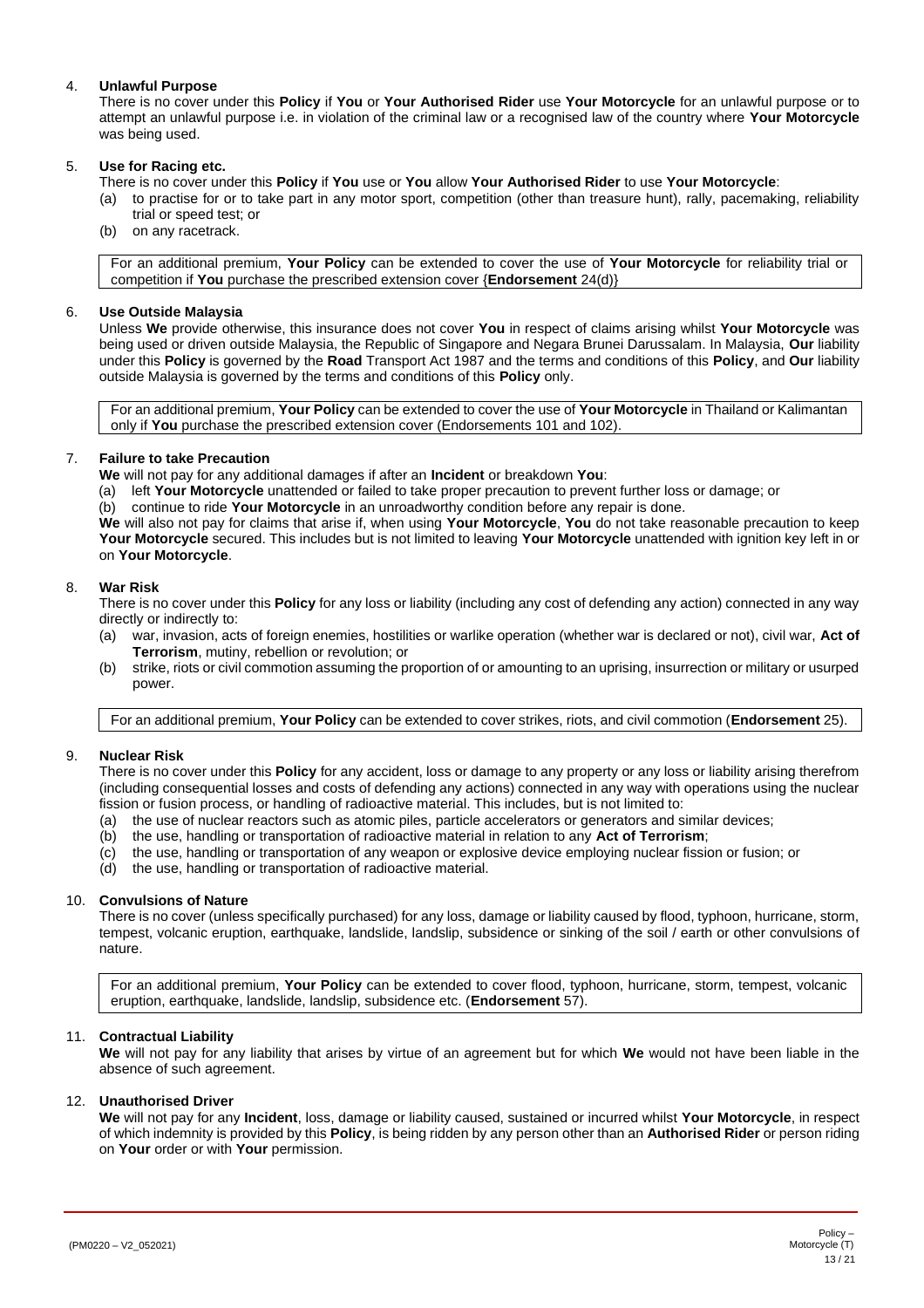# 4. **Unlawful Purpose**

There is no cover under this **Policy** if **You** or **Your Authorised Rider** use **Your Motorcycle** for an unlawful purpose or to attempt an unlawful purpose i.e. in violation of the criminal law or a recognised law of the country where **Your Motorcycle** was being used.

# 5. **Use for Racing etc.**

- There is no cover under this **Policy** if **You** use or **You** allow **Your Authorised Rider** to use **Your Motorcycle**:
- (a) to practise for or to take part in any motor sport, competition (other than treasure hunt), rally, pacemaking, reliability trial or speed test; or
- (b) on any racetrack.

For an additional premium, **Your Policy** can be extended to cover the use of **Your Motorcycle** for reliability trial or competition if **You** purchase the prescribed extension cover {**Endorsement** 24(d)}

# 6. **Use Outside Malaysia**

<span id="page-12-2"></span>Unless **We** provide otherwise, this insurance does not cover **You** in respect of claims arising whilst **Your Motorcycle** was being used or driven outside Malaysia, the Republic of Singapore and Negara Brunei Darussalam. In Malaysia, **Our** liability under this **Policy** is governed by the **Road** Transport Act 1987 and the terms and conditions of this **Policy**, and **Our** liability outside Malaysia is governed by the terms and conditions of this **Policy** only.

For an additional premium, **Your Policy** can be extended to cover the use of **Your Motorcycle** in Thailand or Kalimantan only if **You** purchase the prescribed extension cover (Endorsements 101 and 102).

# 7. **Failure to take Precaution**

**We** will not pay for any additional damages if after an **Incident** or breakdown **You**:

(a) left **Your Motorcycle** unattended or failed to take proper precaution to prevent further loss or damage; or

(b) continue to ride **Your Motorcycle** in an unroadworthy condition before any repair is done.

**We** will also not pay for claims that arise if, when using **Your Motorcycle**, **You** do not take reasonable precaution to keep **Your Motorcycle** secured. This includes but is not limited to leaving **Your Motorcycle** unattended with ignition key left in or on **Your Motorcycle**.

# 8. **War Risk**

There is no cover under this **Policy** for any loss or liability (including any cost of defending any action) connected in any way directly or indirectly to:

- (a) war, invasion, acts of foreign enemies, hostilities or warlike operation (whether war is declared or not), civil war, **Act of Terrorism**, mutiny, rebellion or revolution; or
- <span id="page-12-1"></span>(b) strike, riots or civil commotion assuming the proportion of or amounting to an uprising, insurrection or military or usurped power.

For an additional premium, **Your Policy** can be extended to cover strikes, riots, and civil commotion (**Endorsement** 25).

# 9. **Nuclear Risk**

There is no cover under this **Policy** for any accident, loss or damage to any property or any loss or liability arising therefrom (including consequential losses and costs of defending any actions) connected in any way with operations using the nuclear fission or fusion process, or handling of radioactive material. This includes, but is not limited to:

- (a) the use of nuclear reactors such as atomic piles, particle accelerators or generators and similar devices;
- (b) the use, handling or transportation of radioactive material in relation to any **Act of Terrorism**;
- (c) the use, handling or transportation of any weapon or explosive device employing nuclear fission or fusion; or
- (d) the use, handling or transportation of radioactive material.

# 10. **Convulsions of Nature**

There is no cover (unless specifically purchased) for any loss, damage or liability caused by flood, typhoon, hurricane, storm, tempest, volcanic eruption, earthquake, landslide, landslip, subsidence or sinking of the soil / earth or other convulsions of nature.

For an additional premium, **Your Policy** can be extended to cover flood, typhoon, hurricane, storm, tempest, volcanic eruption, earthquake, landslide, landslip, subsidence etc. (**Endorsement** 57).

# 11. **Contractual Liability**

**We** will not pay for any liability that arises by virtue of an agreement but for which **We** would not have been liable in the absence of such agreement.

#### 12. **Unauthorised Driver**

<span id="page-12-0"></span>**We** will not pay for any **Incident**, loss, damage or liability caused, sustained or incurred whilst **Your Motorcycle**, in respect of which indemnity is provided by this **Policy**, is being ridden by any person other than an **Authorised Rider** or person riding on **Your** order or with **Your** permission.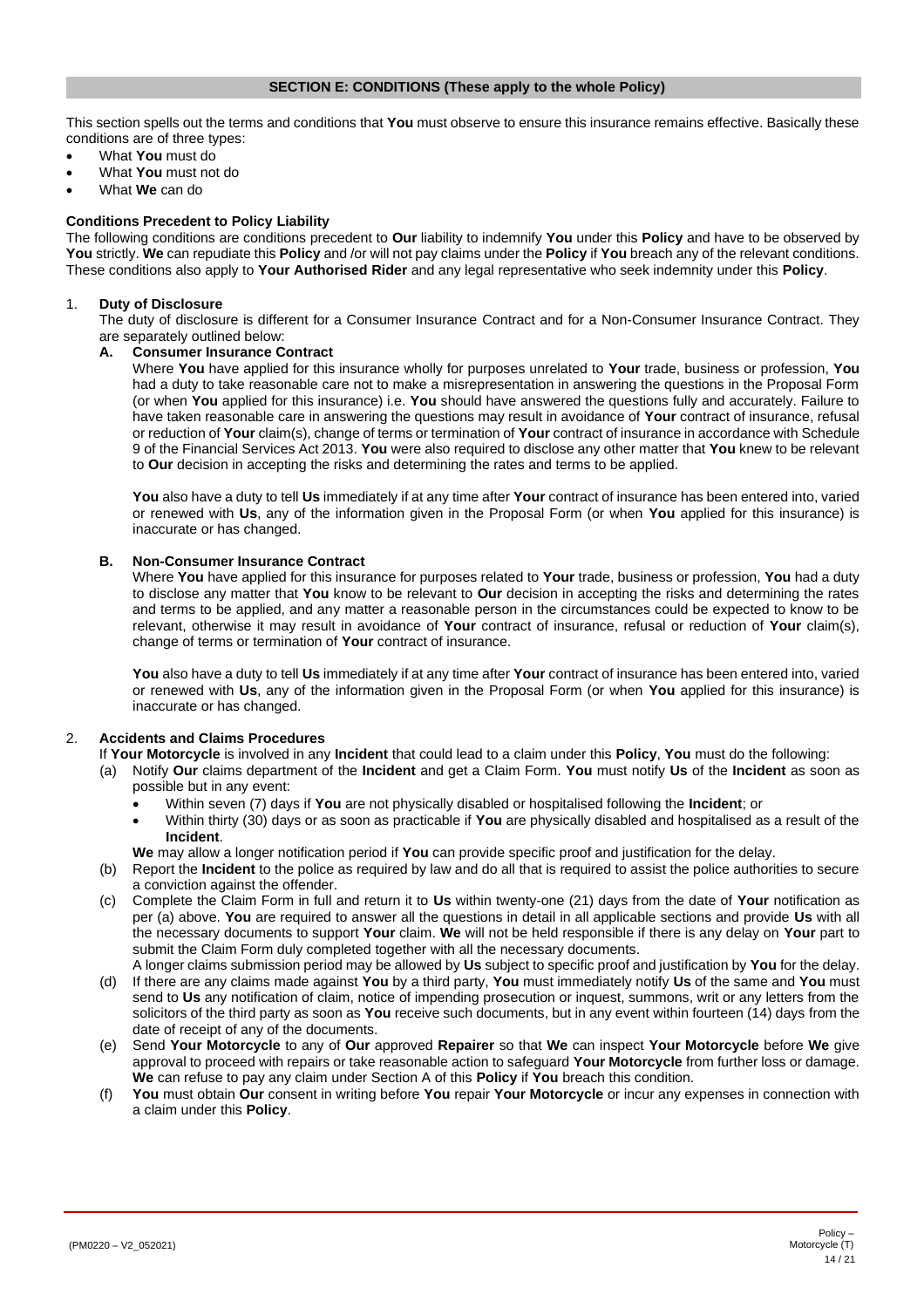#### **SECTION E: CONDITIONS (These apply to the whole Policy)**

<span id="page-13-0"></span>This section spells out the terms and conditions that **You** must observe to ensure this insurance remains effective. Basically these conditions are of three types:

- What **You** must do
- What **You** must not do
- What **We** can do

## **Conditions Precedent to Policy Liability**

The following conditions are conditions precedent to **Our** liability to indemnify **You** under this **Policy** and have to be observed by **You** strictly. **We** can repudiate this **Policy** and /or will not pay claims under the **Policy** if **You** breach any of the relevant conditions. These conditions also apply to **Your Authorised Rider** and any legal representative who seek indemnity under this **Policy**.

#### 1. **Duty of Disclosure**

The duty of disclosure is different for a Consumer Insurance Contract and for a Non-Consumer Insurance Contract. They are separately outlined below:

# **A. Consumer Insurance Contract**

Where **You** have applied for this insurance wholly for purposes unrelated to **Your** trade, business or profession, **You** had a duty to take reasonable care not to make a misrepresentation in answering the questions in the Proposal Form (or when **You** applied for this insurance) i.e. **You** should have answered the questions fully and accurately. Failure to have taken reasonable care in answering the questions may result in avoidance of **Your** contract of insurance, refusal or reduction of **Your** claim(s), change of terms or termination of **Your** contract of insurance in accordance with Schedule 9 of the Financial Services Act 2013. **You** were also required to disclose any other matter that **You** knew to be relevant to **Our** decision in accepting the risks and determining the rates and terms to be applied.

**You** also have a duty to tell **Us** immediately if at any time after **Your** contract of insurance has been entered into, varied or renewed with **Us**, any of the information given in the Proposal Form (or when **You** applied for this insurance) is inaccurate or has changed.

#### **B. Non-Consumer Insurance Contract**

Where **You** have applied for this insurance for purposes related to **Your** trade, business or profession, **You** had a duty to disclose any matter that **You** know to be relevant to **Our** decision in accepting the risks and determining the rates and terms to be applied, and any matter a reasonable person in the circumstances could be expected to know to be relevant, otherwise it may result in avoidance of **Your** contract of insurance, refusal or reduction of **Your** claim(s), change of terms or termination of **Your** contract of insurance.

**You** also have a duty to tell **Us** immediately if at any time after **Your** contract of insurance has been entered into, varied or renewed with **Us**, any of the information given in the Proposal Form (or when **You** applied for this insurance) is inaccurate or has changed.

# 2. **Accidents and Claims Procedures**

- <span id="page-13-1"></span>If **Your Motorcycle** is involved in any **Incident** that could lead to a claim under this **Policy**, **You** must do the following:
- (a) Notify **Our** claims department of the **Incident** and get a Claim Form. **You** must notify **Us** of the **Incident** as soon as possible but in any event:
	- Within seven (7) days if **You** are not physically disabled or hospitalised following the **Incident**; or
	- Within thirty (30) days or as soon as practicable if **You** are physically disabled and hospitalised as a result of the **Incident**.

**We** may allow a longer notification period if **You** can provide specific proof and justification for the delay.

- (b) Report the **Incident** to the police as required by law and do all that is required to assist the police authorities to secure a conviction against the offender.
- (c) Complete the Claim Form in full and return it to **Us** within twenty-one (21) days from the date of **Your** notification as per (a) above. **You** are required to answer all the questions in detail in all applicable sections and provide **Us** with all the necessary documents to support **Your** claim. **We** will not be held responsible if there is any delay on **Your** part to submit the Claim Form duly completed together with all the necessary documents.
- A longer claims submission period may be allowed by **Us** subject to specific proof and justification by **You** for the delay. (d) If there are any claims made against **You** by a third party, **You** must immediately notify **Us** of the same and **You** must send to **Us** any notification of claim, notice of impending prosecution or inquest, summons, writ or any letters from the solicitors of the third party as soon as **You** receive such documents, but in any event within fourteen (14) days from the date of receipt of any of the documents.
- (e) Send **Your Motorcycle** to any of **Our** approved **Repairer** so that **We** can inspect **Your Motorcycle** before **We** give approval to proceed with repairs or take reasonable action to safeguard **Your Motorcycle** from further loss or damage. **We** can refuse to pay any claim under Section A of this **Policy** if **You** breach this condition.
- <span id="page-13-2"></span>(f) **You** must obtain **Our** consent in writing before **You** repair **Your Motorcycle** or incur any expenses in connection with a claim under this **Policy**.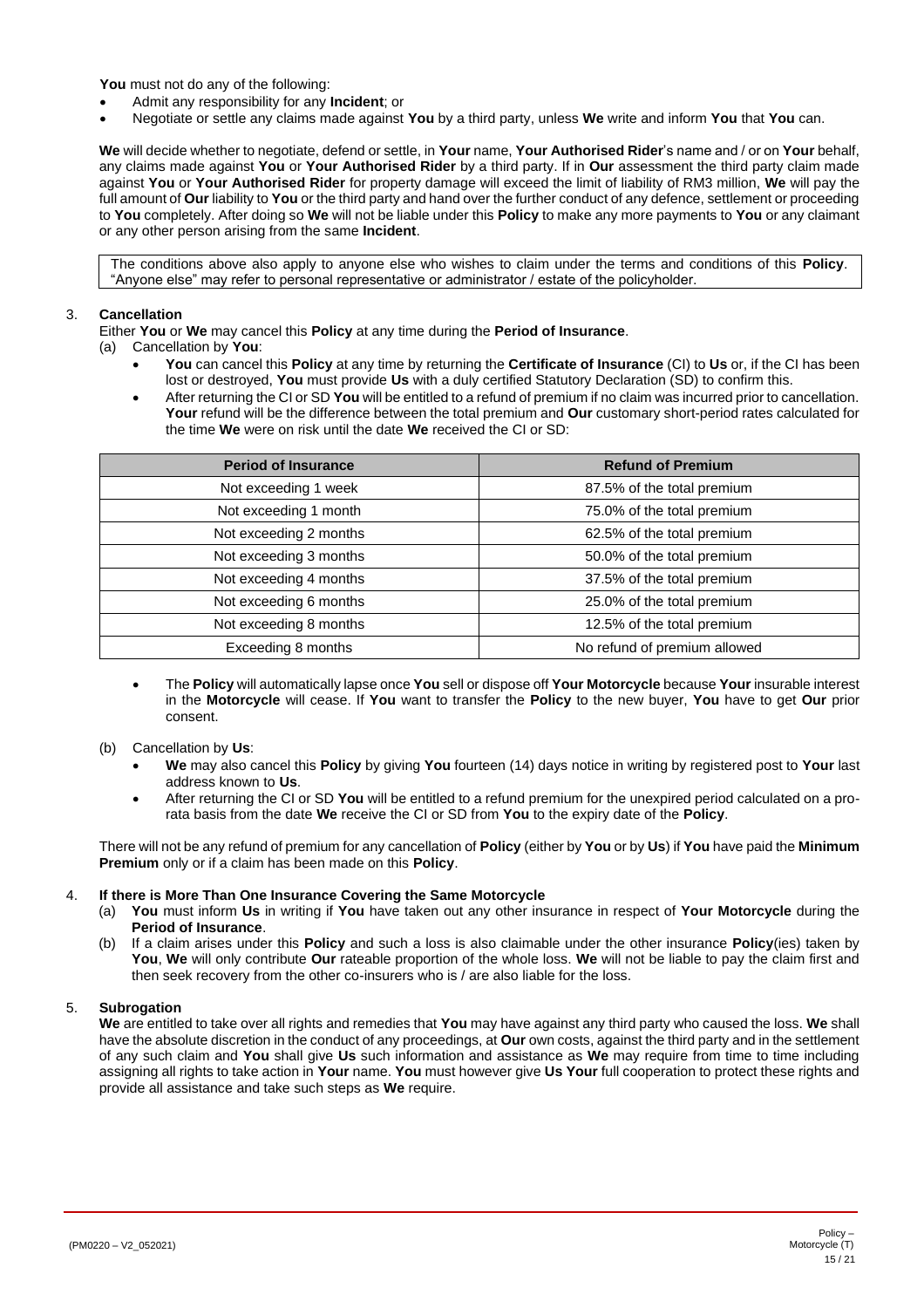**You** must not do any of the following:

- Admit any responsibility for any **Incident**; or
- Negotiate or settle any claims made against **You** by a third party, unless **We** write and inform **You** that **You** can.

**We** will decide whether to negotiate, defend or settle, in **Your** name, **Your Authorised Rider**'s name and / or on **Your** behalf, any claims made against **You** or **Your Authorised Rider** by a third party. If in **Our** assessment the third party claim made against **You** or **Your Authorised Rider** for property damage will exceed the limit of liability of RM3 million, **We** will pay the full amount of **Our** liability to **You** or the third party and hand over the further conduct of any defence, settlement or proceeding to **You** completely. After doing so **We** will not be liable under this **Policy** to make any more payments to **You** or any claimant or any other person arising from the same **Incident**.

The conditions above also apply to anyone else who wishes to claim under the terms and conditions of this **Policy**. "Anyone else" may refer to personal representative or administrator / estate of the policyholder.

# 3. **Cancellation**

Either **You** or **We** may cancel this **Policy** at any time during the **Period of Insurance**.

- (a) Cancellation by **You**:
	- **You** can cancel this **Policy** at any time by returning the **Certificate of Insurance** (CI) to **Us** or, if the CI has been lost or destroyed, **You** must provide **Us** with a duly certified Statutory Declaration (SD) to confirm this.
	- After returning the CI or SD **You** will be entitled to a refund of premium if no claim was incurred prior to cancellation. **Your** refund will be the difference between the total premium and **Our** customary short-period rates calculated for the time **We** were on risk until the date **We** received the CI or SD:

| <b>Period of Insurance</b> | <b>Refund of Premium</b>     |
|----------------------------|------------------------------|
| Not exceeding 1 week       | 87.5% of the total premium   |
| Not exceeding 1 month      | 75.0% of the total premium   |
| Not exceeding 2 months     | 62.5% of the total premium   |
| Not exceeding 3 months     | 50.0% of the total premium   |
| Not exceeding 4 months     | 37.5% of the total premium   |
| Not exceeding 6 months     | 25.0% of the total premium   |
| Not exceeding 8 months     | 12.5% of the total premium   |
| Exceeding 8 months         | No refund of premium allowed |

- The **Policy** will automatically lapse once **You** sell or dispose off **Your Motorcycle** because **Your** insurable interest in the **Motorcycle** will cease. If **You** want to transfer the **Policy** to the new buyer, **You** have to get **Our** prior consent.
- (b) Cancellation by **Us**:
	- **We** may also cancel this **Policy** by giving **You** fourteen (14) days notice in writing by registered post to **Your** last address known to **Us**.
	- After returning the CI or SD **You** will be entitled to a refund premium for the unexpired period calculated on a prorata basis from the date **We** receive the CI or SD from **You** to the expiry date of the **Policy**.

There will not be any refund of premium for any cancellation of **Policy** (either by **You** or by **Us**) if **You** have paid the **Minimum Premium** only or if a claim has been made on this **Policy**.

# 4. **If there is More Than One Insurance Covering the Same Motorcycle**

- (a) **You** must inform **Us** in writing if **You** have taken out any other insurance in respect of **Your Motorcycle** during the **Period of Insurance**.
- (b) If a claim arises under this **Policy** and such a loss is also claimable under the other insurance **Policy**(ies) taken by **You**, **We** will only contribute **Our** rateable proportion of the whole loss. **We** will not be liable to pay the claim first and then seek recovery from the other co-insurers who is / are also liable for the loss.

# 5. **Subrogation**

**We** are entitled to take over all rights and remedies that **You** may have against any third party who caused the loss. **We** shall have the absolute discretion in the conduct of any proceedings, at **Our** own costs, against the third party and in the settlement of any such claim and **You** shall give **Us** such information and assistance as **We** may require from time to time including assigning all rights to take action in **Your** name. **You** must however give **Us Your** full cooperation to protect these rights and provide all assistance and take such steps as **We** require.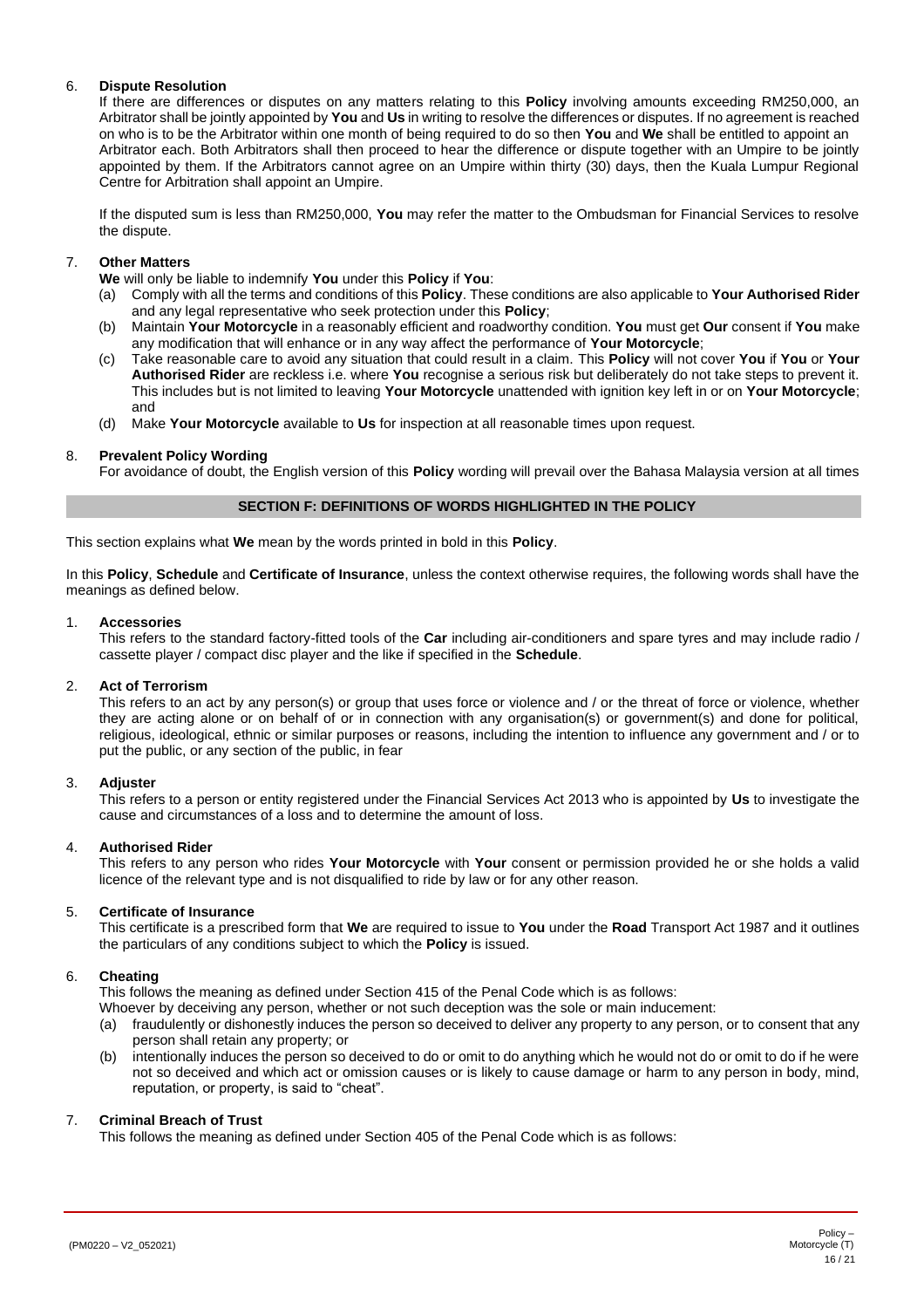# 6. **Dispute Resolution**

If there are differences or disputes on any matters relating to this **Policy** involving amounts exceeding RM250,000, an Arbitrator shall be jointly appointed by **You** and **Us** in writing to resolve the differences or disputes. If no agreement is reached on who is to be the Arbitrator within one month of being required to do so then **You** and **We** shall be entitled to appoint an Arbitrator each. Both Arbitrators shall then proceed to hear the difference or dispute together with an Umpire to be jointly appointed by them. If the Arbitrators cannot agree on an Umpire within thirty (30) days, then the Kuala Lumpur Regional Centre for Arbitration shall appoint an Umpire.

If the disputed sum is less than RM250,000, **You** may refer the matter to the Ombudsman for Financial Services to resolve the dispute.

#### 7. **Other Matters**

**We** will only be liable to indemnify **You** under this **Policy** if **You**:

- (a) Comply with all the terms and conditions of this **Policy**. These conditions are also applicable to **Your Authorised Rider** and any legal representative who seek protection under this **Policy**;
- (b) Maintain **Your Motorcycle** in a reasonably efficient and roadworthy condition. **You** must get **Our** consent if **You** make any modification that will enhance or in any way affect the performance of **Your Motorcycle**;
- (c) Take reasonable care to avoid any situation that could result in a claim. This **Policy** will not cover **You** if **You** or **Your Authorised Rider** are reckless i.e. where **You** recognise a serious risk but deliberately do not take steps to prevent it. This includes but is not limited to leaving **Your Motorcycle** unattended with ignition key left in or on **Your Motorcycle**; and
- (d) Make **Your Motorcycle** available to **Us** for inspection at all reasonable times upon request.

#### 8. **Prevalent Policy Wording**

For avoidance of doubt, the English version of this **Policy** wording will prevail over the Bahasa Malaysia version at all times

#### **SECTION F: DEFINITIONS OF WORDS HIGHLIGHTED IN THE POLICY**

<span id="page-15-0"></span>This section explains what **We** mean by the words printed in bold in this **Policy**.

In this **Policy**, **Schedule** and **Certificate of Insurance**, unless the context otherwise requires, the following words shall have the meanings as defined below.

#### 1. **Accessories**

This refers to the standard factory-fitted tools of the **Car** including air-conditioners and spare tyres and may include radio / cassette player / compact disc player and the like if specified in the **Schedule**.

#### 2. **Act of Terrorism**

This refers to an act by any person(s) or group that uses force or violence and / or the threat of force or violence, whether they are acting alone or on behalf of or in connection with any organisation(s) or government(s) and done for political, religious, ideological, ethnic or similar purposes or reasons, including the intention to influence any government and / or to put the public, or any section of the public, in fear

#### 3. **Adjuster**

This refers to a person or entity registered under the Financial Services Act 2013 who is appointed by **Us** to investigate the cause and circumstances of a loss and to determine the amount of loss.

#### 4. **Authorised Rider**

<span id="page-15-1"></span>This refers to any person who rides **Your Motorcycle** with **Your** consent or permission provided he or she holds a valid licence of the relevant type and is not disqualified to ride by law or for any other reason.

#### 5. **Certificate of Insurance**

This certificate is a prescribed form that **We** are required to issue to **You** under the **Road** Transport Act 1987 and it outlines the particulars of any conditions subject to which the **Policy** is issued.

#### 6. **Cheating**

This follows the meaning as defined under Section 415 of the Penal Code which is as follows:

- Whoever by deceiving any person, whether or not such deception was the sole or main inducement:
- (a) fraudulently or dishonestly induces the person so deceived to deliver any property to any person, or to consent that any person shall retain any property; or
- (b) intentionally induces the person so deceived to do or omit to do anything which he would not do or omit to do if he were not so deceived and which act or omission causes or is likely to cause damage or harm to any person in body, mind, reputation, or property, is said to "cheat".

#### 7. **Criminal Breach of Trust**

This follows the meaning as defined under Section 405 of the Penal Code which is as follows: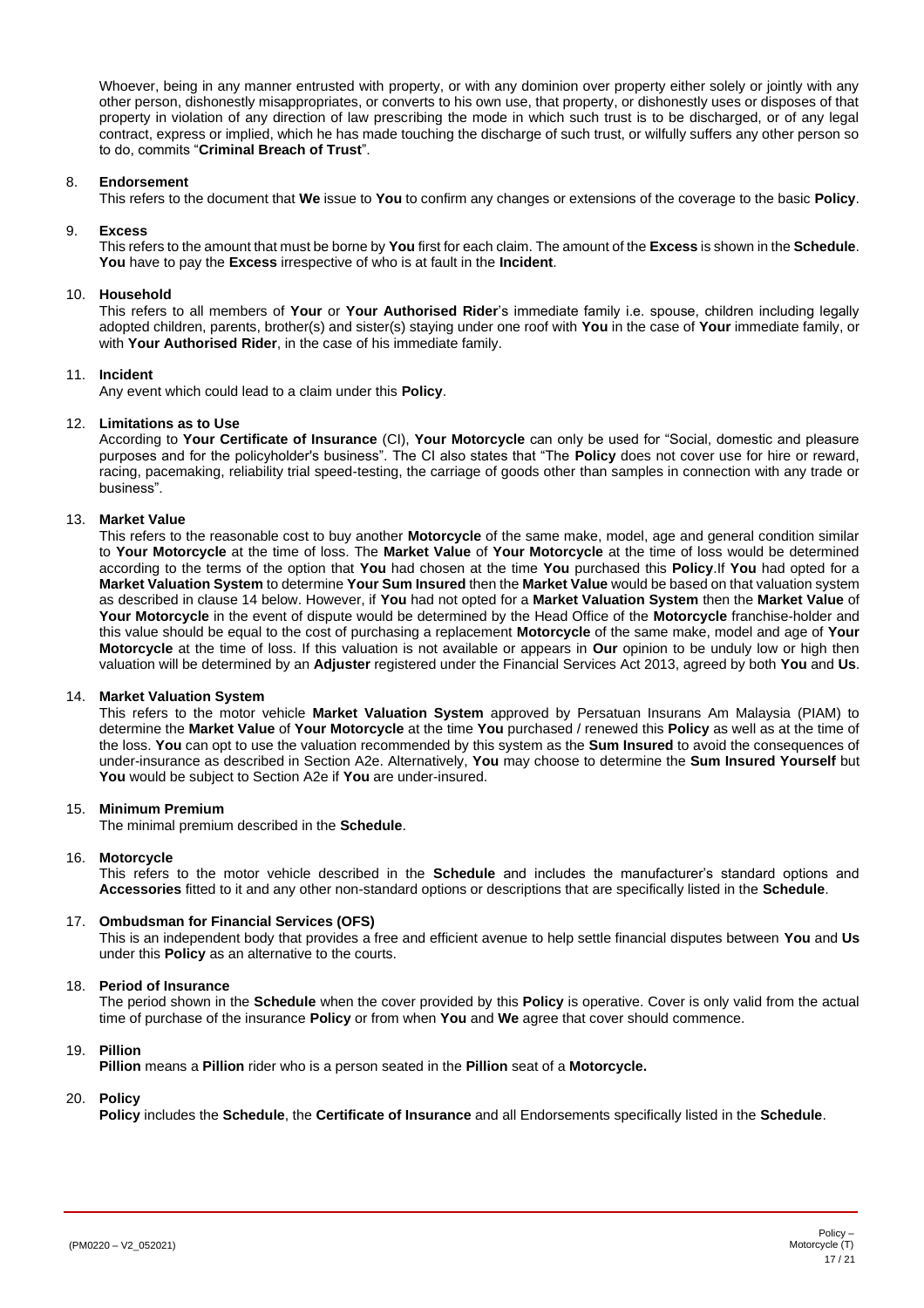Whoever, being in any manner entrusted with property, or with any dominion over property either solely or jointly with any other person, dishonestly misappropriates, or converts to his own use, that property, or dishonestly uses or disposes of that property in violation of any direction of law prescribing the mode in which such trust is to be discharged, or of any legal contract, express or implied, which he has made touching the discharge of such trust, or wilfully suffers any other person so to do, commits "**Criminal Breach of Trust**".

#### 8. **Endorsement**

This refers to the document that **We** issue to **You** to confirm any changes or extensions of the coverage to the basic **Policy**.

#### 9. **Excess**

This refers to the amount that must be borne by **You** first for each claim. The amount of the **Excess** is shown in the **Schedule**. **You** have to pay the **Excess** irrespective of who is at fault in the **Incident**.

# 10. **Household**

This refers to all members of **Your** or **Your Authorised Rider**'s immediate family i.e. spouse, children including legally adopted children, parents, brother(s) and sister(s) staying under one roof with **You** in the case of **Your** immediate family, or with **Your Authorised Rider**, in the case of his immediate family.

#### 11. **Incident**

Any event which could lead to a claim under this **Policy**.

#### 12. **Limitations as to Use**

According to **Your Certificate of Insurance** (CI), **Your Motorcycle** can only be used for "Social, domestic and pleasure purposes and for the policyholder's business". The CI also states that "The **Policy** does not cover use for hire or reward, racing, pacemaking, reliability trial speed-testing, the carriage of goods other than samples in connection with any trade or business".

#### 13. **Market Value**

<span id="page-16-0"></span>This refers to the reasonable cost to buy another **Motorcycle** of the same make, model, age and general condition similar to **Your Motorcycle** at the time of loss. The **Market Value** of **Your Motorcycle** at the time of loss would be determined according to the terms of the option that **You** had chosen at the time **You** purchased this **Policy**.If **You** had opted for a **Market Valuation System** to determine **Your Sum Insured** then the **Market Value** would be based on that valuation system as described in clause 14 below. However, if **You** had not opted for a **Market Valuation System** then the **Market Value** of **Your Motorcycle** in the event of dispute would be determined by the Head Office of the **Motorcycle** franchise-holder and this value should be equal to the cost of purchasing a replacement **Motorcycle** of the same make, model and age of **Your Motorcycle** at the time of loss. If this valuation is not available or appears in **Our** opinion to be unduly low or high then valuation will be determined by an **Adjuster** registered under the Financial Services Act 2013, agreed by both **You** and **Us**.

#### 14. **Market Valuation System**

This refers to the motor vehicle **Market Valuation System** approved by Persatuan Insurans Am Malaysia (PIAM) to determine the **Market Value** of **Your Motorcycle** at the time **You** purchased / renewed this **Policy** as well as at the time of the loss. **You** can opt to use the valuation recommended by this system as the **Sum Insured** to avoid the consequences of under-insurance as described in Section A2e. Alternatively, **You** may choose to determine the **Sum Insured Yourself** but **You** would be subject to Section A2e if **You** are under-insured.

#### 15. **Minimum Premium**

The minimal premium described in the **Schedule**.

#### 16. **Motorcycle**

This refers to the motor vehicle described in the **Schedule** and includes the manufacturer's standard options and **Accessories** fitted to it and any other non-standard options or descriptions that are specifically listed in the **Schedule**.

#### 17. **Ombudsman for Financial Services (OFS)**

This is an independent body that provides a free and efficient avenue to help settle financial disputes between **You** and **Us** under this **Policy** as an alternative to the courts.

#### 18. **Period of Insurance**

The period shown in the **Schedule** when the cover provided by this **Policy** is operative. Cover is only valid from the actual time of purchase of the insurance **Policy** or from when **You** and **We** agree that cover should commence.

#### 19. **Pillion**

**Pillion** means a **Pillion** rider who is a person seated in the **Pillion** seat of a **Motorcycle.**

#### 20. **Policy**

**Policy** includes the **Schedule**, the **Certificate of Insurance** and all Endorsements specifically listed in the **Schedule**.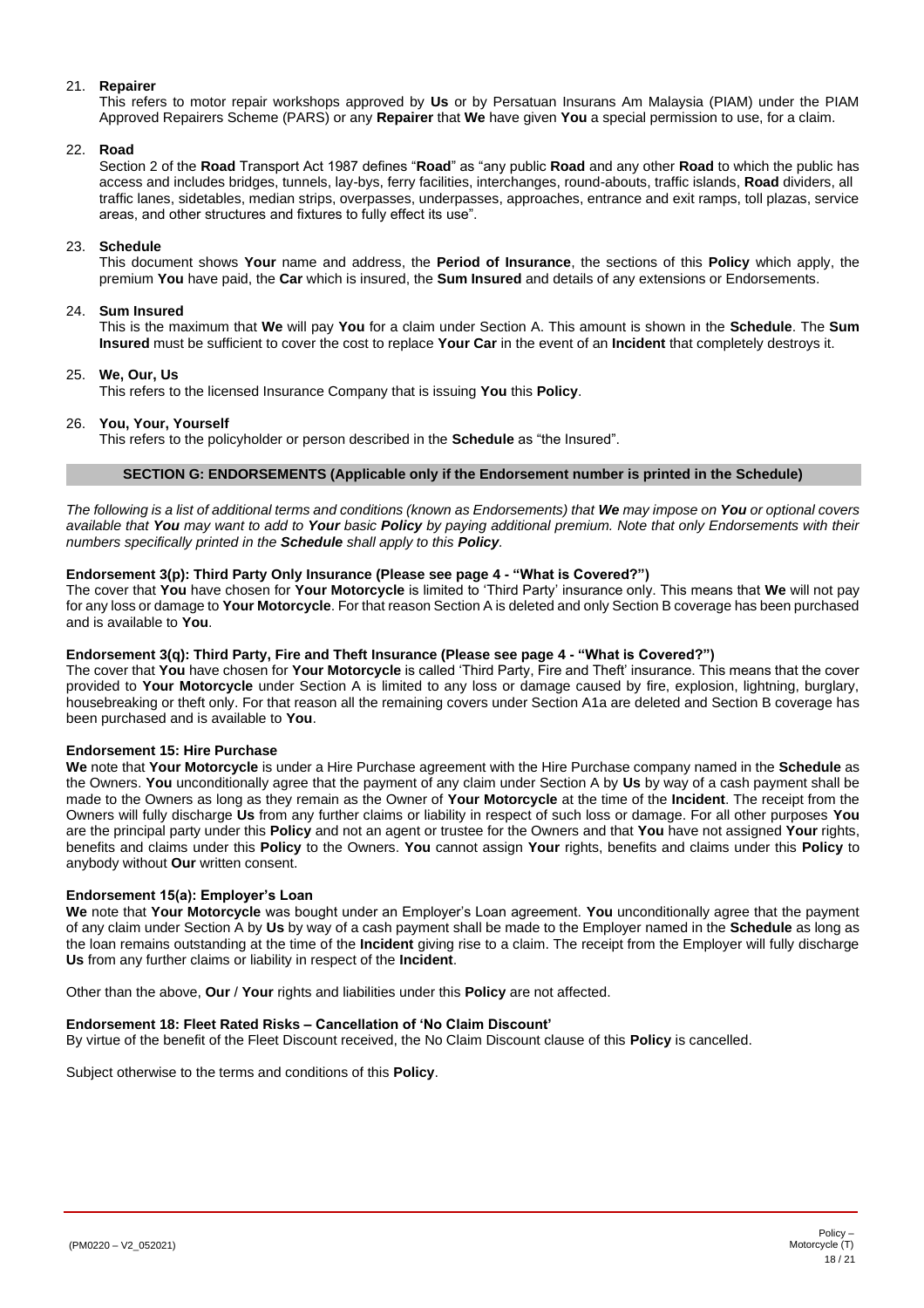# 21. **Repairer**

This refers to motor repair workshops approved by **Us** or by Persatuan Insurans Am Malaysia (PIAM) under the PIAM Approved Repairers Scheme (PARS) or any **Repairer** that **We** have given **You** a special permission to use, for a claim.

#### 22. **Road**

Section 2 of the **Road** Transport Act 1987 defines "**Road**" as "any public **Road** and any other **Road** to which the public has access and includes bridges, tunnels, lay-bys, ferry facilities, interchanges, round-abouts, traffic islands, **Road** dividers, all traffic lanes, sidetables, median strips, overpasses, underpasses, approaches, entrance and exit ramps, toll plazas, service areas, and other structures and fixtures to fully effect its use".

#### 23. **Schedule**

This document shows **Your** name and address, the **Period of Insurance**, the sections of this **Policy** which apply, the premium **You** have paid, the **Car** which is insured, the **Sum Insured** and details of any extensions or Endorsements.

#### 24. **Sum Insured**

This is the maximum that **We** will pay **You** for a claim under Section A. This amount is shown in the **Schedule**. The **Sum Insured** must be sufficient to cover the cost to replace **Your Car** in the event of an **Incident** that completely destroys it.

#### 25. **We, Our, Us**

This refers to the licensed Insurance Company that is issuing **You** this **Policy**.

#### 26. **You, Your, Yourself**

<span id="page-17-1"></span>This refers to the policyholder or person described in the **Schedule** as "the Insured".

#### **SECTION G: ENDORSEMENTS (Applicable only if the Endorsement number is printed in the Schedule)**

<span id="page-17-0"></span>*The following is a list of additional terms and conditions (known as Endorsements) that We may impose on You or optional covers available that You may want to add to Your basic Policy by paying additional premium. Note that only Endorsements with their numbers specifically printed in the Schedule shall apply to this Policy.*

# **Endorsement 3(p): Third Party Only Insurance (Please see page [4](#page-3-0) - "What is Covered?")**

The cover that **You** have chosen for **Your Motorcycle** is limited to 'Third Party' insurance only. This means that **We** will not pay for any loss or damage to **Your Motorcycle**. For that reason Section A is deleted and only Section B coverage has been purchased and is available to **You**.

# **Endorsement 3(q): Third Party, Fire and Theft Insurance (Please see page [4](#page-3-0) - "What is Covered?")**

The cover that **You** have chosen for **Your Motorcycle** is called 'Third Party, Fire and Theft' insurance. This means that the cover provided to **Your Motorcycle** under Section A is limited to any loss or damage caused by fire, explosion, lightning, burglary, housebreaking or theft only. For that reason all the remaining covers under Section A1a are deleted and Section B coverage has been purchased and is available to **You**.

#### **Endorsement 15: Hire Purchase**

**We** note that **Your Motorcycle** is under a Hire Purchase agreement with the Hire Purchase company named in the **Schedule** as the Owners. **You** unconditionally agree that the payment of any claim under Section A by **Us** by way of a cash payment shall be made to the Owners as long as they remain as the Owner of **Your Motorcycle** at the time of the **Incident**. The receipt from the Owners will fully discharge **Us** from any further claims or liability in respect of such loss or damage. For all other purposes **You** are the principal party under this **Policy** and not an agent or trustee for the Owners and that **You** have not assigned **Your** rights, benefits and claims under this **Policy** to the Owners. **You** cannot assign **Your** rights, benefits and claims under this **Policy** to anybody without **Our** written consent.

#### **Endorsement 15(a): Employer's Loan**

**We** note that **Your Motorcycle** was bought under an Employer's Loan agreement. **You** unconditionally agree that the payment of any claim under Section A by **Us** by way of a cash payment shall be made to the Employer named in the **Schedule** as long as the loan remains outstanding at the time of the **Incident** giving rise to a claim. The receipt from the Employer will fully discharge **Us** from any further claims or liability in respect of the **Incident**.

Other than the above, **Our** / **Your** rights and liabilities under this **Policy** are not affected.

#### **Endorsement 18: Fleet Rated Risks – Cancellation of 'No Claim Discount'**

By virtue of the benefit of the Fleet Discount received, the No Claim Discount clause of this **Policy** is cancelled.

Subject otherwise to the terms and conditions of this **Policy**.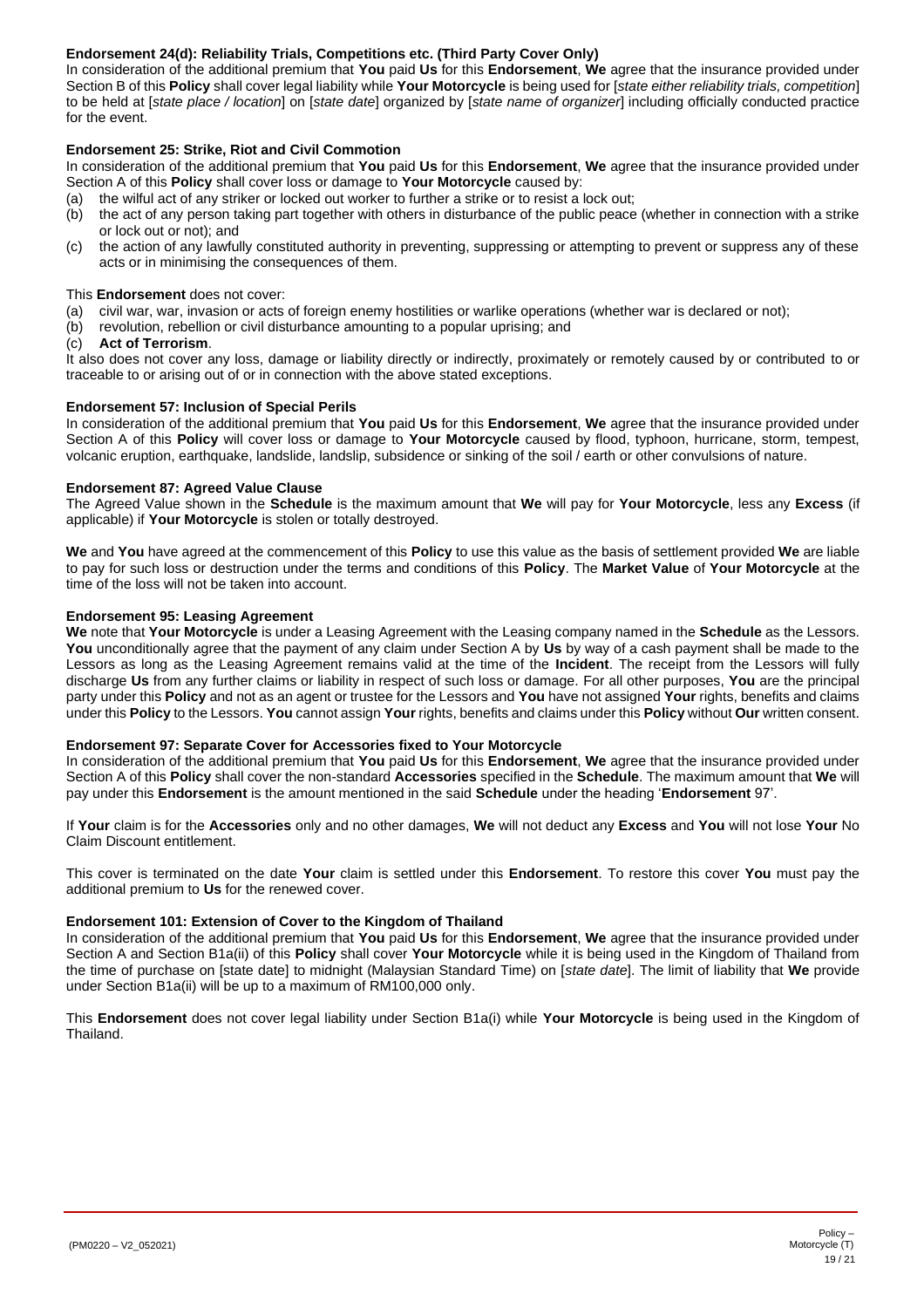# **Endorsement 24(d): Reliability Trials, Competitions etc. (Third Party Cover Only)**

In consideration of the additional premium that **You** paid **Us** for this **Endorsement**, **We** agree that the insurance provided under Section B of this **Policy** shall cover legal liability while **Your Motorcycle** is being used for [*state either reliability trials, competition*] to be held at [*state place / location*] on [*state date*] organized by [*state name of organizer*] including officially conducted practice for the event.

# **Endorsement 25: Strike, Riot and Civil Commotion**

In consideration of the additional premium that **You** paid **Us** for this **Endorsement**, **We** agree that the insurance provided under Section A of this **Policy** shall cover loss or damage to **Your Motorcycle** caused by:

- (a) the wilful act of any striker or locked out worker to further a strike or to resist a lock out;
- (b) the act of any person taking part together with others in disturbance of the public peace (whether in connection with a strike or lock out or not); and
- (c) the action of any lawfully constituted authority in preventing, suppressing or attempting to prevent or suppress any of these acts or in minimising the consequences of them.

This **Endorsement** does not cover:

- (a) civil war, war, invasion or acts of foreign enemy hostilities or warlike operations (whether war is declared or not);
- (b) revolution, rebellion or civil disturbance amounting to a popular uprising; and
- (c) **Act of Terrorism**.

It also does not cover any loss, damage or liability directly or indirectly, proximately or remotely caused by or contributed to or traceable to or arising out of or in connection with the above stated exceptions.

# **Endorsement 57: Inclusion of Special Perils**

In consideration of the additional premium that **You** paid **Us** for this **Endorsement**, **We** agree that the insurance provided under Section A of this **Policy** will cover loss or damage to **Your Motorcycle** caused by flood, typhoon, hurricane, storm, tempest, volcanic eruption, earthquake, landslide, landslip, subsidence or sinking of the soil / earth or other convulsions of nature.

# **Endorsement 87: Agreed Value Clause**

The Agreed Value shown in the **Schedule** is the maximum amount that **We** will pay for **Your Motorcycle**, less any **Excess** (if applicable) if **Your Motorcycle** is stolen or totally destroyed.

**We** and **You** have agreed at the commencement of this **Policy** to use this value as the basis of settlement provided **We** are liable to pay for such loss or destruction under the terms and conditions of this **Policy**. The **Market Value** of **Your Motorcycle** at the time of the loss will not be taken into account.

# **Endorsement 95: Leasing Agreement**

**We** note that **Your Motorcycle** is under a Leasing Agreement with the Leasing company named in the **Schedule** as the Lessors. **You** unconditionally agree that the payment of any claim under Section A by **Us** by way of a cash payment shall be made to the Lessors as long as the Leasing Agreement remains valid at the time of the **Incident**. The receipt from the Lessors will fully discharge **Us** from any further claims or liability in respect of such loss or damage. For all other purposes, **You** are the principal party under this **Policy** and not as an agent or trustee for the Lessors and **You** have not assigned **Your** rights, benefits and claims under this **Policy** to the Lessors. **You** cannot assign **Your** rights, benefits and claims under this **Policy** without **Our** written consent.

#### **Endorsement 97: Separate Cover for Accessories fixed to Your Motorcycle**

In consideration of the additional premium that **You** paid **Us** for this **Endorsement**, **We** agree that the insurance provided under Section A of this **Policy** shall cover the non-standard **Accessories** specified in the **Schedule**. The maximum amount that **We** will pay under this **Endorsement** is the amount mentioned in the said **Schedule** under the heading '**Endorsement** 97'.

If **Your** claim is for the **Accessories** only and no other damages, **We** will not deduct any **Excess** and **You** will not lose **Your** No Claim Discount entitlement.

This cover is terminated on the date **Your** claim is settled under this **Endorsement**. To restore this cover **You** must pay the additional premium to **Us** for the renewed cover.

# **Endorsement 101: Extension of Cover to the Kingdom of Thailand**

In consideration of the additional premium that **You** paid **Us** for this **Endorsement**, **We** agree that the insurance provided under Section A and Section B1a(ii) of this **Policy** shall cover **Your Motorcycle** while it is being used in the Kingdom of Thailand from the time of purchase on [state date] to midnight (Malaysian Standard Time) on [*state date*]. The limit of liability that **We** provide under Section B1a(ii) will be up to a maximum of RM100,000 only.

This **Endorsement** does not cover legal liability under Section B1a(i) while **Your Motorcycle** is being used in the Kingdom of Thailand.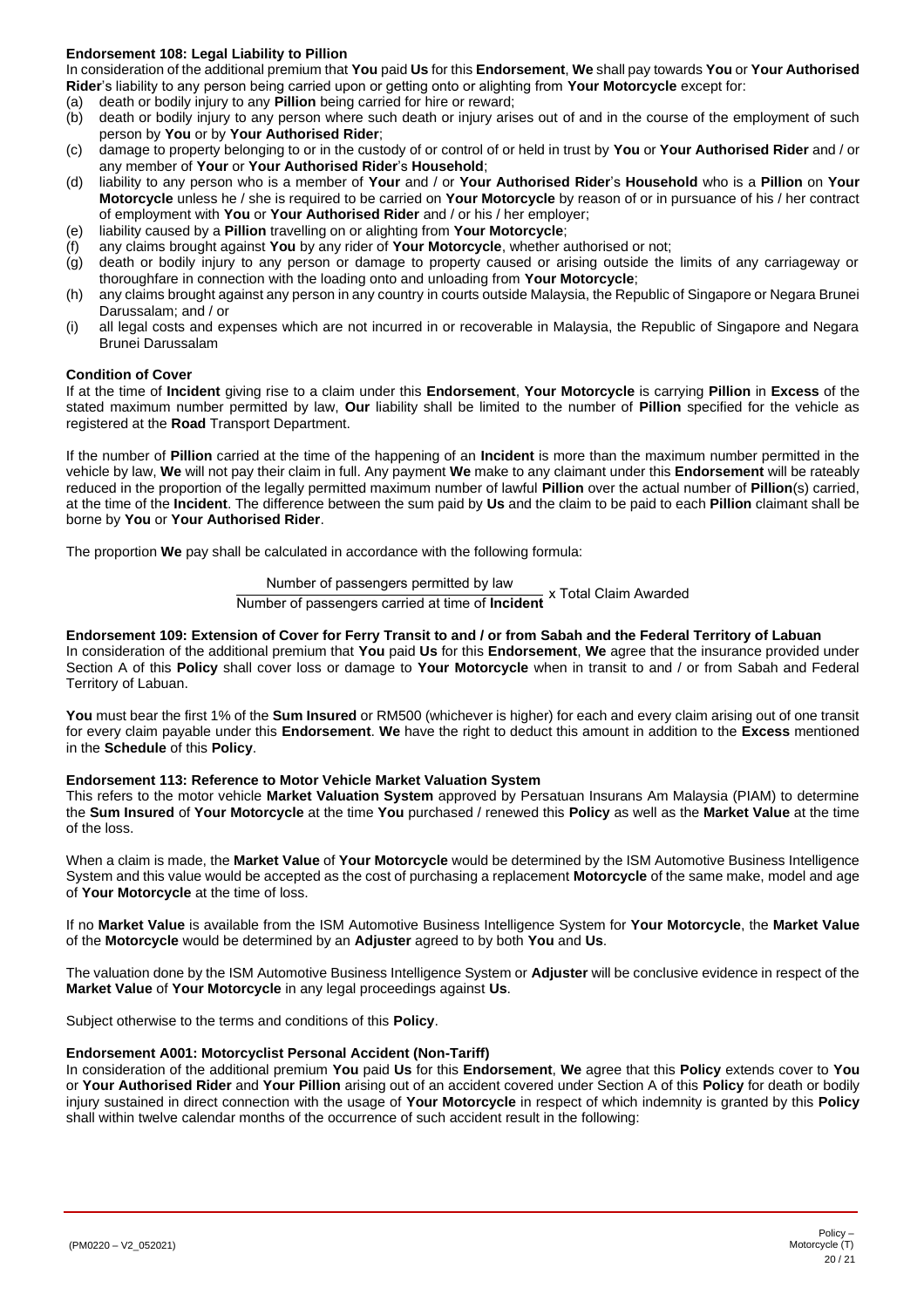# <span id="page-19-0"></span>**Endorsement 108: Legal Liability to Pillion**

In consideration of the additional premium that **You** paid **Us** for this **Endorsement**, **We** shall pay towards **You** or **Your Authorised Rider**'s liability to any person being carried upon or getting onto or alighting from **Your Motorcycle** except for:

- (a) death or bodily injury to any **Pillion** being carried for hire or reward;
- death or bodily injury to any person where such death or injury arises out of and in the course of the employment of such person by **You** or by **Your Authorised Rider**;
- (c) damage to property belonging to or in the custody of or control of or held in trust by **You** or **Your Authorised Rider** and / or any member of **Your** or **Your Authorised Rider**'s **Household**;
- (d) liability to any person who is a member of **Your** and / or **Your Authorised Rider**'s **Household** who is a **Pillion** on **Your Motorcycle** unless he / she is required to be carried on **Your Motorcycle** by reason of or in pursuance of his / her contract of employment with **You** or **Your Authorised Rider** and / or his / her employer;
- (e) liability caused by a **Pillion** travelling on or alighting from **Your Motorcycle**;
- (f) any claims brought against **You** by any rider of **Your Motorcycle**, whether authorised or not;
- (g) death or bodily injury to any person or damage to property caused or arising outside the limits of any carriageway or thoroughfare in connection with the loading onto and unloading from **Your Motorcycle**;
- (h) any claims brought against any person in any country in courts outside Malaysia, the Republic of Singapore or Negara Brunei Darussalam; and / or
- (i) all legal costs and expenses which are not incurred in or recoverable in Malaysia, the Republic of Singapore and Negara Brunei Darussalam

# **Condition of Cover**

If at the time of **Incident** giving rise to a claim under this **Endorsement**, **Your Motorcycle** is carrying **Pillion** in **Excess** of the stated maximum number permitted by law, **Our** liability shall be limited to the number of **Pillion** specified for the vehicle as registered at the **Road** Transport Department.

If the number of **Pillion** carried at the time of the happening of an **Incident** is more than the maximum number permitted in the vehicle by law, **We** will not pay their claim in full. Any payment **We** make to any claimant under this **Endorsement** will be rateably reduced in the proportion of the legally permitted maximum number of lawful **Pillion** over the actual number of **Pillion**(s) carried, at the time of the **Incident**. The difference between the sum paid by **Us** and the claim to be paid to each **Pillion** claimant shall be borne by **You** or **Your Authorised Rider**.

The proportion **We** pay shall be calculated in accordance with the following formula:

Number of passengers permitted by law Number of passengers carried at time of **Incident** x Total Claim Awarded

#### **Endorsement 109: Extension of Cover for Ferry Transit to and / or from Sabah and the Federal Territory of Labuan**

In consideration of the additional premium that **You** paid **Us** for this **Endorsement**, **We** agree that the insurance provided under Section A of this **Policy** shall cover loss or damage to **Your Motorcycle** when in transit to and / or from Sabah and Federal Territory of Labuan.

**You** must bear the first 1% of the **Sum Insured** or RM500 (whichever is higher) for each and every claim arising out of one transit for every claim payable under this **Endorsement**. **We** have the right to deduct this amount in addition to the **Excess** mentioned in the **Schedule** of this **Policy**.

#### **Endorsement 113: Reference to Motor Vehicle Market Valuation System**

This refers to the motor vehicle **Market Valuation System** approved by Persatuan Insurans Am Malaysia (PIAM) to determine the **Sum Insured** of **Your Motorcycle** at the time **You** purchased / renewed this **Policy** as well as the **Market Value** at the time of the loss.

When a claim is made, the **Market Value** of **Your Motorcycle** would be determined by the ISM Automotive Business Intelligence System and this value would be accepted as the cost of purchasing a replacement **Motorcycle** of the same make, model and age of **Your Motorcycle** at the time of loss.

If no **Market Value** is available from the ISM Automotive Business Intelligence System for **Your Motorcycle**, the **Market Value** of the **Motorcycle** would be determined by an **Adjuster** agreed to by both **You** and **Us**.

The valuation done by the ISM Automotive Business Intelligence System or **Adjuster** will be conclusive evidence in respect of the **Market Value** of **Your Motorcycle** in any legal proceedings against **Us**.

Subject otherwise to the terms and conditions of this **Policy**.

#### **Endorsement A001: Motorcyclist Personal Accident (Non-Tariff)**

In consideration of the additional premium **You** paid **Us** for this **Endorsement**, **We** agree that this **Policy** extends cover to **You** or **Your Authorised Rider** and **Your Pillion** arising out of an accident covered under Section A of this **Policy** for death or bodily injury sustained in direct connection with the usage of **Your Motorcycle** in respect of which indemnity is granted by this **Policy** shall within twelve calendar months of the occurrence of such accident result in the following: